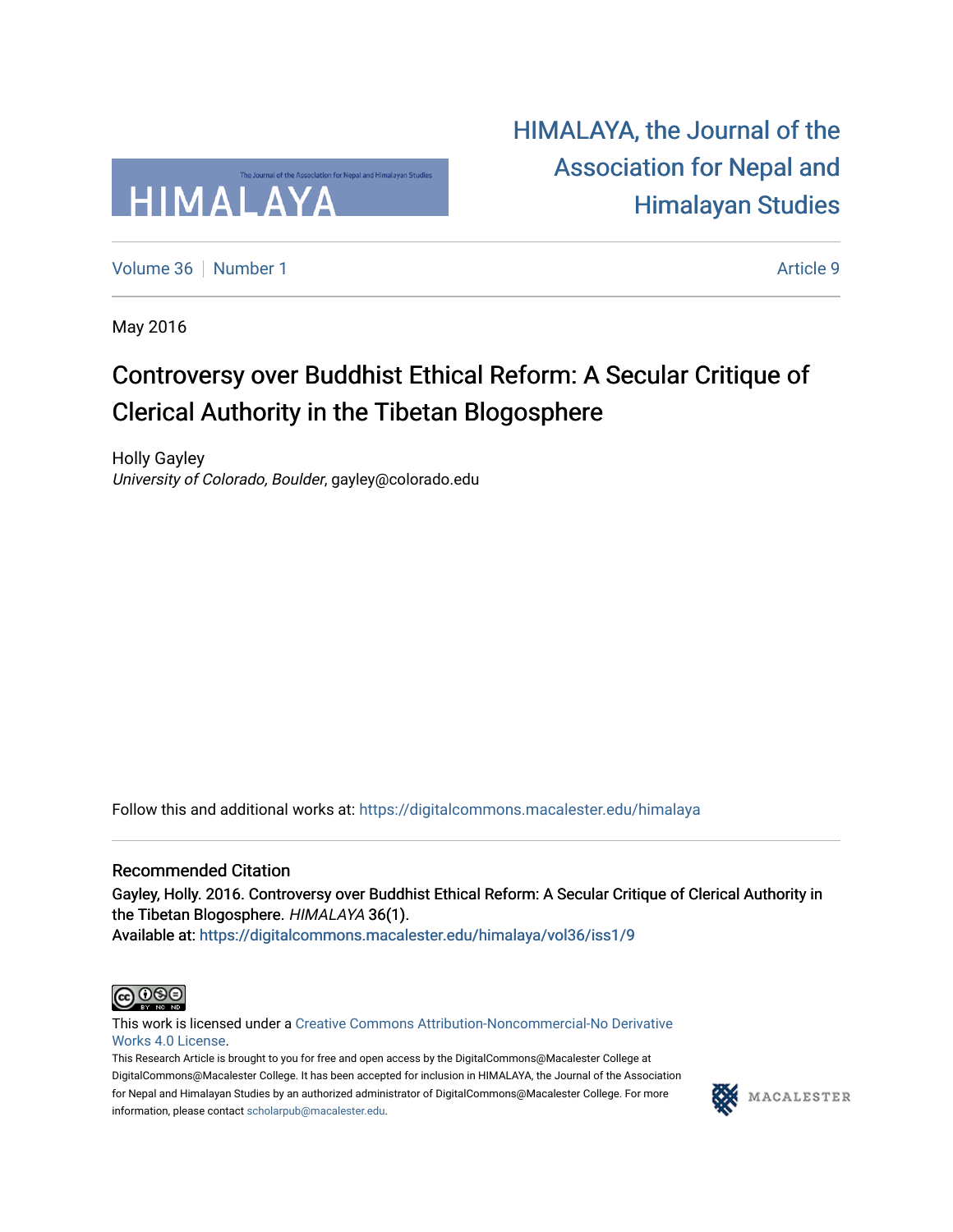

[HIMALAYA, the Journal of the](https://digitalcommons.macalester.edu/himalaya)  [Association for Nepal and](https://digitalcommons.macalester.edu/himalaya)  [Himalayan Studies](https://digitalcommons.macalester.edu/himalaya) 

[Volume 36](https://digitalcommons.macalester.edu/himalaya/vol36) [Number 1](https://digitalcommons.macalester.edu/himalaya/vol36/iss1) Article 9

May 2016

### Controversy over Buddhist Ethical Reform: A Secular Critique of Clerical Authority in the Tibetan Blogosphere

Holly Gayley University of Colorado, Boulder, gayley@colorado.edu

Follow this and additional works at: [https://digitalcommons.macalester.edu/himalaya](https://digitalcommons.macalester.edu/himalaya?utm_source=digitalcommons.macalester.edu%2Fhimalaya%2Fvol36%2Fiss1%2F9&utm_medium=PDF&utm_campaign=PDFCoverPages)

#### Recommended Citation

Gayley, Holly. 2016. Controversy over Buddhist Ethical Reform: A Secular Critique of Clerical Authority in the Tibetan Blogosphere. HIMALAYA 36(1).

Available at: https:/[/digitalcommons.macalester.edu/himala](https://digitalcommons.macalester.edu/himalaya/vol36/iss1/9?utm_source=digitalcommons.macalester.edu%2Fhimalaya%2Fvol36%2Fiss1%2F9&utm_medium=PDF&utm_campaign=PDFCoverPages)ya/vol36/iss1/9



This work is licensed under a [Creative Commons Attribution-Noncommercial-No Derivative](https://creativecommons.org/licenses/by-nc-nd/4.0/)  [Works 4.0 License](https://creativecommons.org/licenses/by-nc-nd/4.0/).

This Research Article is brought to you for free and open access by the DigitalCommons@Macalester College at DigitalCommons@Macalester College. It has been accepted for inclusion in HIMALAYA, the Journal of the Association for Nepal and Himalayan Studies by an authorized administrator of DigitalCommons@Macalester College. For more information, please contact [scholarpub@macalester.edu](mailto:scholarpub@macalester.edu).

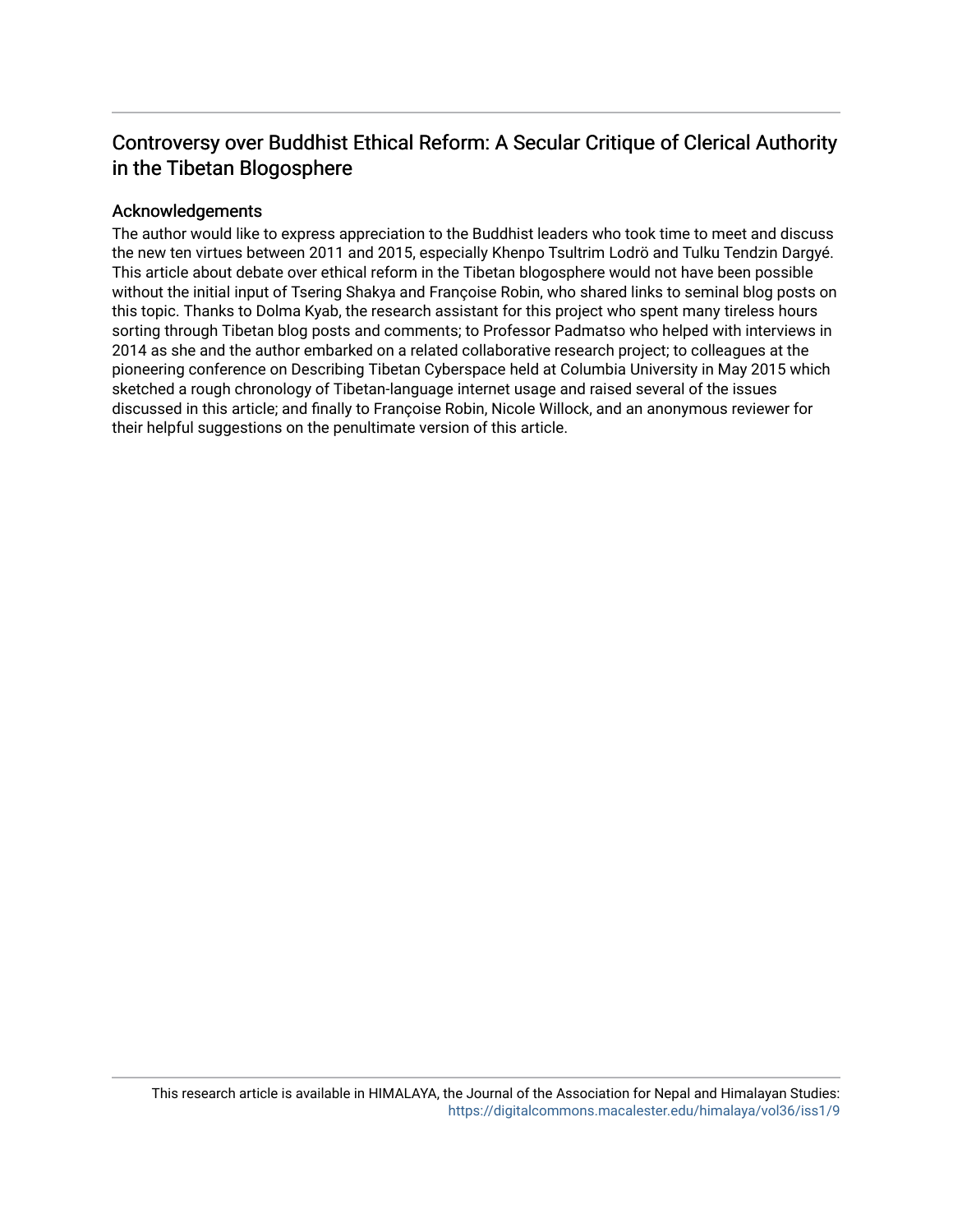### Controversy over Buddhist Ethical Reform: A Secular Critique of Clerical Authority in the Tibetan Blogosphere

#### Acknowledgements

The author would like to express appreciation to the Buddhist leaders who took time to meet and discuss the new ten virtues between 2011 and 2015, especially Khenpo Tsultrim Lodrö and Tulku Tendzin Dargyé. This article about debate over ethical reform in the Tibetan blogosphere would not have been possible without the initial input of Tsering Shakya and Françoise Robin, who shared links to seminal blog posts on this topic. Thanks to Dolma Kyab, the research assistant for this project who spent many tireless hours sorting through Tibetan blog posts and comments; to Professor Padmatso who helped with interviews in 2014 as she and the author embarked on a related collaborative research project; to colleagues at the pioneering conference on Describing Tibetan Cyberspace held at Columbia University in May 2015 which sketched a rough chronology of Tibetan-language internet usage and raised several of the issues discussed in this article; and finally to Françoise Robin, Nicole Willock, and an anonymous reviewer for their helpful suggestions on the penultimate version of this article.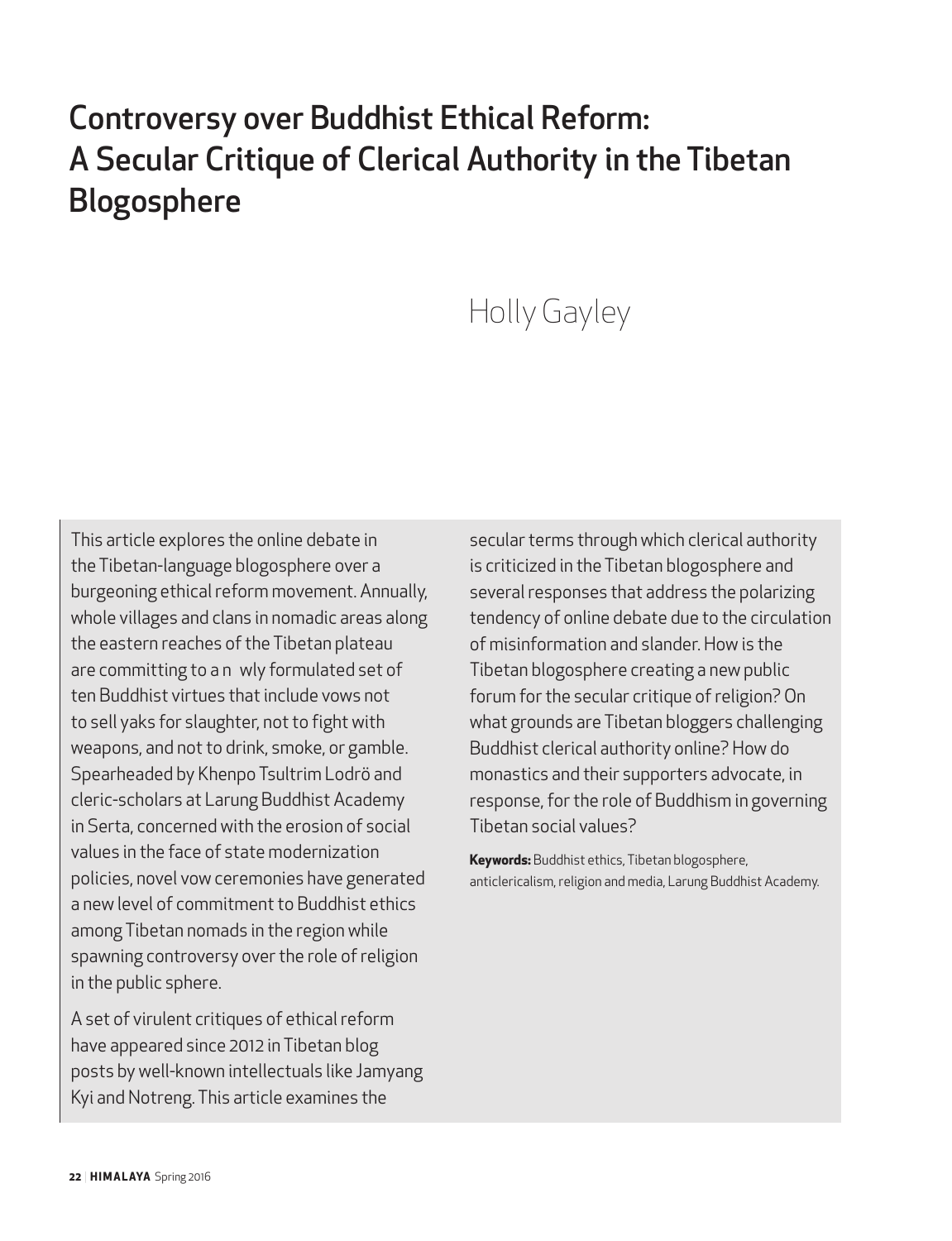## Controversy over Buddhist Ethical Reform: A Secular Critique of Clerical Authority in the Tibetan Blogosphere

# Holly Gayley

This article explores the online debate in the Tibetan-language blogosphere over a burgeoning ethical reform movement. Annually, whole villages and clans in nomadic areas along the eastern reaches of the Tibetan plateau are committing to a n wly formulated set of ten Buddhist virtues that include vows not to sell yaks for slaughter, not to fight with weapons, and not to drink, smoke, or gamble. Spearheaded by Khenpo Tsultrim Lodrö and cleric-scholars at Larung Buddhist Academy in Serta, concerned with the erosion of social values in the face of state modernization policies, novel vow ceremonies have generated a new level of commitment to Buddhist ethics among Tibetan nomads in the region while spawning controversy over the role of religion in the public sphere.

A set of virulent critiques of ethical reform have appeared since 2012 in Tibetan blog posts by well-known intellectuals like Jamyang Kyi and Notreng. This article examines the

secular terms through which clerical authority is criticized in the Tibetan blogosphere and several responses that address the polarizing tendency of online debate due to the circulation of misinformation and slander. How is the Tibetan blogosphere creating a new public forum for the secular critique of religion? On what grounds are Tibetan bloggers challenging Buddhist clerical authority online? How do monastics and their supporters advocate, in response, for the role of Buddhism in governing Tibetan social values?

**Keywords:** Buddhist ethics, Tibetan blogosphere, anticlericalism, religion and media, Larung Buddhist Academy.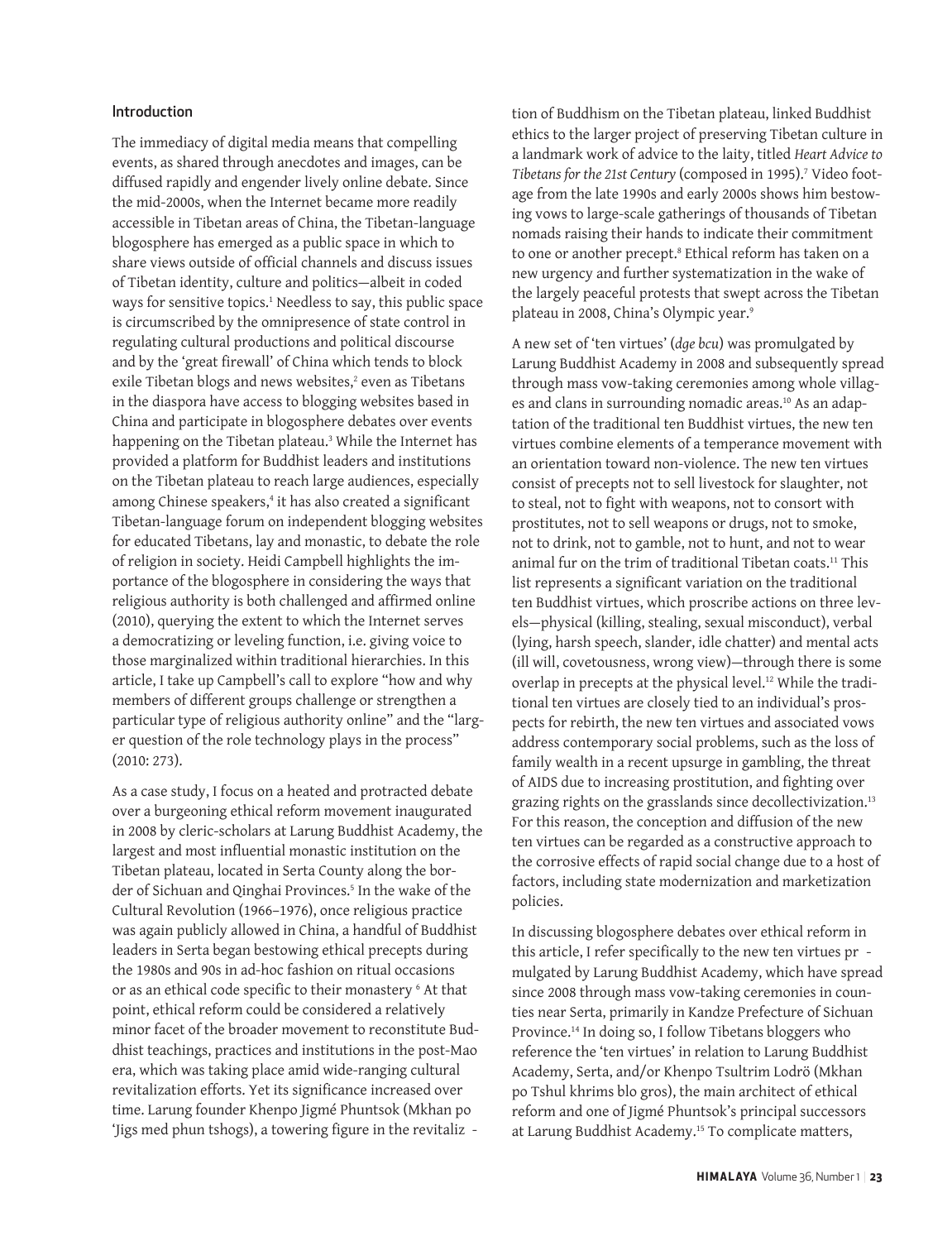#### Introduction

The immediacy of digital media means that compelling events, as shared through anecdotes and images, can be diffused rapidly and engender lively online debate. Since the mid-2000s, when the Internet became more readily accessible in Tibetan areas of China, the Tibetan-language blogosphere has emerged as a public space in which to share views outside of official channels and discuss issues of Tibetan identity, culture and politics—albeit in coded ways for sensitive topics.1 Needless to say, this public space is circumscribed by the omnipresence of state control in regulating cultural productions and political discourse and by the 'great firewall' of China which tends to block exile Tibetan blogs and news websites,<sup>2</sup> even as Tibetans in the diaspora have access to blogging websites based in China and participate in blogosphere debates over events happening on the Tibetan plateau.3 While the Internet has provided a platform for Buddhist leaders and institutions on the Tibetan plateau to reach large audiences, especially among Chinese speakers,<sup>4</sup> it has also created a significant Tibetan-language forum on independent blogging websites for educated Tibetans, lay and monastic, to debate the role of religion in society. Heidi Campbell highlights the importance of the blogosphere in considering the ways that religious authority is both challenged and affirmed online (2010), querying the extent to which the Internet serves a democratizing or leveling function, i.e. giving voice to those marginalized within traditional hierarchies. In this article, I take up Campbell's call to explore "how and why members of different groups challenge or strengthen a particular type of religious authority online" and the "larger question of the role technology plays in the process" (2010: 273).

As a case study, I focus on a heated and protracted debate over a burgeoning ethical reform movement inaugurated in 2008 by cleric-scholars at Larung Buddhist Academy, the largest and most influential monastic institution on the Tibetan plateau, located in Serta County along the border of Sichuan and Qinghai Provinces.<sup>5</sup> In the wake of the Cultural Revolution (1966–1976), once religious practice was again publicly allowed in China, a handful of Buddhist leaders in Serta began bestowing ethical precepts during the 1980s and 90s in ad-hoc fashion on ritual occasions or as an ethical code specific to their monastery  $\epsilon$  At that point, ethical reform could be considered a relatively minor facet of the broader movement to reconstitute Buddhist teachings, practices and institutions in the post-Mao era, which was taking place amid wide-ranging cultural revitalization efforts. Yet its significance increased over time. Larung founder Khenpo Jigmé Phuntsok (Mkhan po 'Jigs med phun tshogs), a towering figure in the revitaliz -

tion of Buddhism on the Tibetan plateau, linked Buddhist ethics to the larger project of preserving Tibetan culture in a landmark work of advice to the laity, titled *Heart Advice to Tibetans for the 21st Century* (composed in 1995).7 Video footage from the late 1990s and early 2000s shows him bestowing vows to large-scale gatherings of thousands of Tibetan nomads raising their hands to indicate their commitment to one or another precept.8 Ethical reform has taken on a new urgency and further systematization in the wake of the largely peaceful protests that swept across the Tibetan plateau in 2008, China's Olympic year.9

A new set of 'ten virtues' (*dge bcu*) was promulgated by Larung Buddhist Academy in 2008 and subsequently spread through mass vow-taking ceremonies among whole villages and clans in surrounding nomadic areas.<sup>10</sup> As an adaptation of the traditional ten Buddhist virtues, the new ten virtues combine elements of a temperance movement with an orientation toward non-violence. The new ten virtues consist of precepts not to sell livestock for slaughter, not to steal, not to fight with weapons, not to consort with prostitutes, not to sell weapons or drugs, not to smoke, not to drink, not to gamble, not to hunt, and not to wear animal fur on the trim of traditional Tibetan coats.11 This list represents a significant variation on the traditional ten Buddhist virtues, which proscribe actions on three levels—physical (killing, stealing, sexual misconduct), verbal (lying, harsh speech, slander, idle chatter) and mental acts (ill will, covetousness, wrong view)—through there is some overlap in precepts at the physical level.<sup>12</sup> While the traditional ten virtues are closely tied to an individual's prospects for rebirth, the new ten virtues and associated vows address contemporary social problems, such as the loss of family wealth in a recent upsurge in gambling, the threat of AIDS due to increasing prostitution, and fighting over grazing rights on the grasslands since decollectivization.<sup>13</sup> For this reason, the conception and diffusion of the new ten virtues can be regarded as a constructive approach to the corrosive effects of rapid social change due to a host of factors, including state modernization and marketization policies.

In discussing blogosphere debates over ethical reform in this article, I refer specifically to the new ten virtues pr mulgated by Larung Buddhist Academy, which have spread since 2008 through mass vow-taking ceremonies in counties near Serta, primarily in Kandze Prefecture of Sichuan Province.14 In doing so, I follow Tibetans bloggers who reference the 'ten virtues' in relation to Larung Buddhist Academy, Serta, and/or Khenpo Tsultrim Lodrö (Mkhan po Tshul khrims blo gros), the main architect of ethical reform and one of Jigmé Phuntsok's principal successors at Larung Buddhist Academy.15 To complicate matters,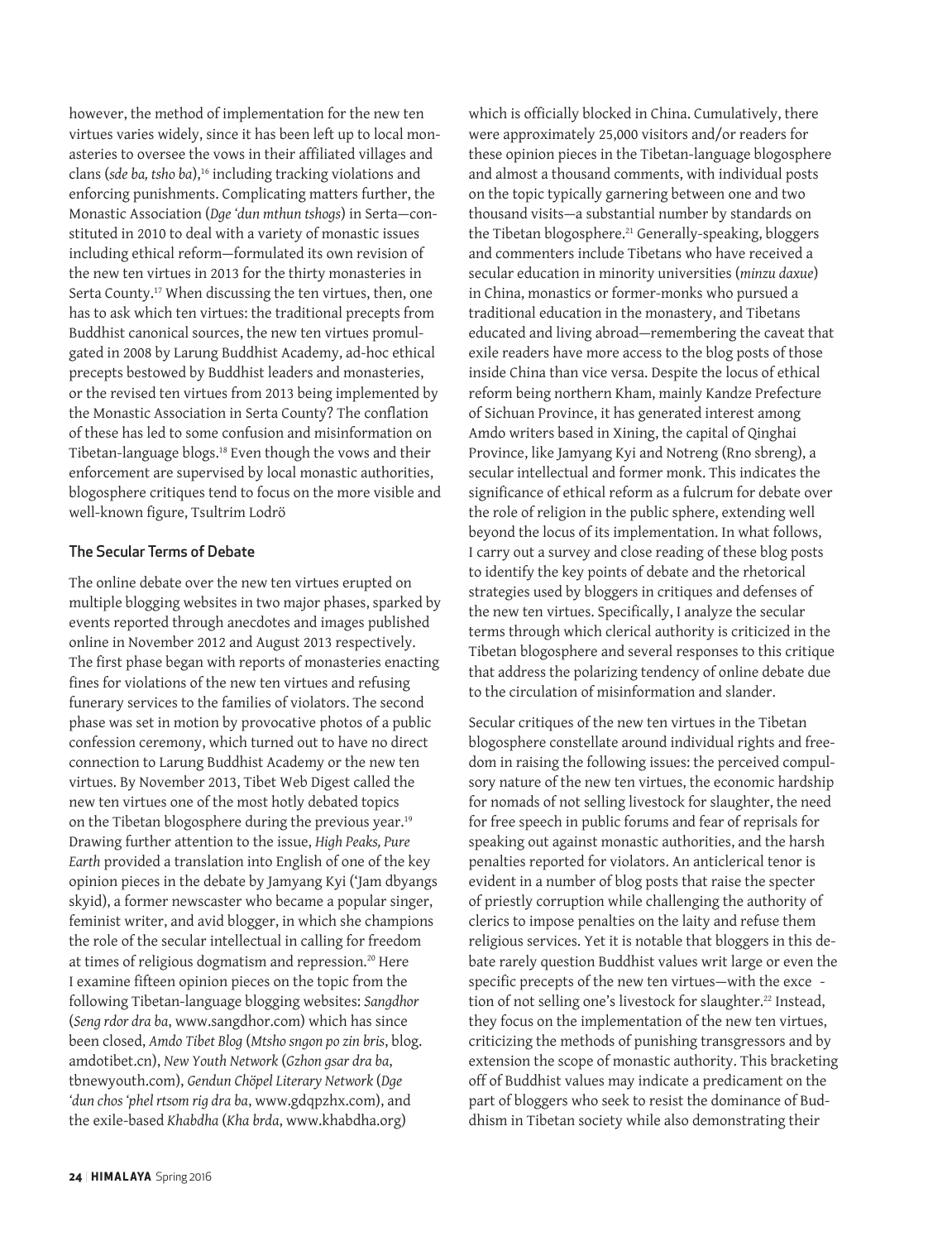however, the method of implementation for the new ten virtues varies widely, since it has been left up to local monasteries to oversee the vows in their affiliated villages and clans (sde ba, tsho ba),<sup>16</sup> including tracking violations and enforcing punishments. Complicating matters further, the Monastic Association (*Dge 'dun mthun tshogs*) in Serta—constituted in 2010 to deal with a variety of monastic issues including ethical reform—formulated its own revision of the new ten virtues in 2013 for the thirty monasteries in Serta County.<sup>17</sup> When discussing the ten virtues, then, one has to ask which ten virtues: the traditional precepts from Buddhist canonical sources, the new ten virtues promulgated in 2008 by Larung Buddhist Academy, ad-hoc ethical precepts bestowed by Buddhist leaders and monasteries, or the revised ten virtues from 2013 being implemented by the Monastic Association in Serta County? The conflation of these has led to some confusion and misinformation on Tibetan-language blogs.18 Even though the vows and their enforcement are supervised by local monastic authorities, blogosphere critiques tend to focus on the more visible and well-known figure, Tsultrim Lodrö

#### The Secular Terms of Debate

The online debate over the new ten virtues erupted on multiple blogging websites in two major phases, sparked by events reported through anecdotes and images published online in November 2012 and August 2013 respectively. The first phase began with reports of monasteries enacting fines for violations of the new ten virtues and refusing funerary services to the families of violators. The second phase was set in motion by provocative photos of a public confession ceremony, which turned out to have no direct connection to Larung Buddhist Academy or the new ten virtues. By November 2013, Tibet Web Digest called the new ten virtues one of the most hotly debated topics on the Tibetan blogosphere during the previous year.<sup>19</sup> Drawing further attention to the issue, *High Peaks, Pure Earth* provided a translation into English of one of the key opinion pieces in the debate by Jamyang Kyi ('Jam dbyangs skyid), a former newscaster who became a popular singer, feminist writer, and avid blogger, in which she champions the role of the secular intellectual in calling for freedom at times of religious dogmatism and repression.<sup>20</sup> Here I examine fifteen opinion pieces on the topic from the following Tibetan-language blogging websites: *Sangdhor*  (*Seng rdor dra ba*, www.sangdhor.com) which has since been closed, *Amdo Tibet Blog* (*Mtsho sngon po zin bris*, blog. amdotibet.cn), *New Youth Network* (*Gzhon gsar dra ba*, tbnewyouth.com), *Gendun Chöpel Literary Network* (*Dge 'dun chos 'phel rtsom rig dra ba*, www.gdqpzhx.com), and the exile-based *Khabdha* (*Kha brda*, www.khabdha.org)

which is officially blocked in China. Cumulatively, there were approximately 25,000 visitors and/or readers for these opinion pieces in the Tibetan-language blogosphere and almost a thousand comments, with individual posts on the topic typically garnering between one and two thousand visits—a substantial number by standards on the Tibetan blogosphere.<sup>21</sup> Generally-speaking, bloggers and commenters include Tibetans who have received a secular education in minority universities (*minzu daxue*) in China, monastics or former-monks who pursued a traditional education in the monastery, and Tibetans educated and living abroad—remembering the caveat that exile readers have more access to the blog posts of those inside China than vice versa. Despite the locus of ethical reform being northern Kham, mainly Kandze Prefecture of Sichuan Province, it has generated interest among Amdo writers based in Xining, the capital of Qinghai Province, like Jamyang Kyi and Notreng (Rno sbreng), a secular intellectual and former monk. This indicates the significance of ethical reform as a fulcrum for debate over the role of religion in the public sphere, extending well beyond the locus of its implementation. In what follows, I carry out a survey and close reading of these blog posts to identify the key points of debate and the rhetorical strategies used by bloggers in critiques and defenses of the new ten virtues. Specifically, I analyze the secular terms through which clerical authority is criticized in the Tibetan blogosphere and several responses to this critique that address the polarizing tendency of online debate due to the circulation of misinformation and slander.

Secular critiques of the new ten virtues in the Tibetan blogosphere constellate around individual rights and freedom in raising the following issues: the perceived compulsory nature of the new ten virtues, the economic hardship for nomads of not selling livestock for slaughter, the need for free speech in public forums and fear of reprisals for speaking out against monastic authorities, and the harsh penalties reported for violators. An anticlerical tenor is evident in a number of blog posts that raise the specter of priestly corruption while challenging the authority of clerics to impose penalties on the laity and refuse them religious services. Yet it is notable that bloggers in this debate rarely question Buddhist values writ large or even the specific precepts of the new ten virtues—with the exce tion of not selling one's livestock for slaughter.<sup>22</sup> Instead, they focus on the implementation of the new ten virtues, criticizing the methods of punishing transgressors and by extension the scope of monastic authority. This bracketing off of Buddhist values may indicate a predicament on the part of bloggers who seek to resist the dominance of Buddhism in Tibetan society while also demonstrating their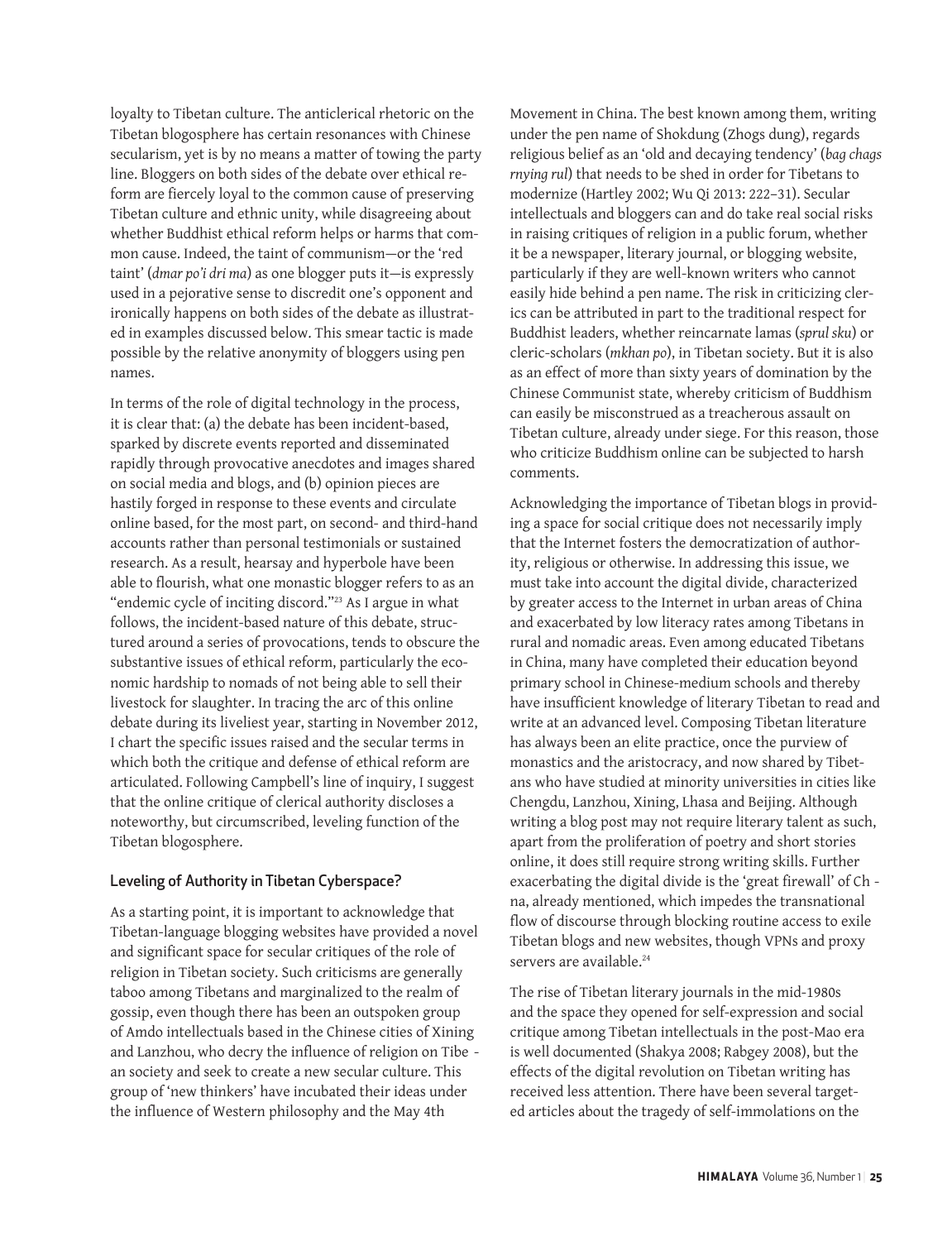loyalty to Tibetan culture. The anticlerical rhetoric on the Tibetan blogosphere has certain resonances with Chinese secularism, yet is by no means a matter of towing the party line. Bloggers on both sides of the debate over ethical reform are fiercely loyal to the common cause of preserving Tibetan culture and ethnic unity, while disagreeing about whether Buddhist ethical reform helps or harms that common cause. Indeed, the taint of communism—or the 'red taint' (*dmar po'i dri ma*) as one blogger puts it—is expressly used in a pejorative sense to discredit one's opponent and ironically happens on both sides of the debate as illustrated in examples discussed below. This smear tactic is made possible by the relative anonymity of bloggers using pen names.

In terms of the role of digital technology in the process, it is clear that: (a) the debate has been incident-based, sparked by discrete events reported and disseminated rapidly through provocative anecdotes and images shared on social media and blogs, and (b) opinion pieces are hastily forged in response to these events and circulate online based, for the most part, on second- and third-hand accounts rather than personal testimonials or sustained research. As a result, hearsay and hyperbole have been able to flourish, what one monastic blogger refers to as an "endemic cycle of inciting discord."<sup>23</sup> As I argue in what follows, the incident-based nature of this debate, structured around a series of provocations, tends to obscure the substantive issues of ethical reform, particularly the economic hardship to nomads of not being able to sell their livestock for slaughter. In tracing the arc of this online debate during its liveliest year, starting in November 2012, I chart the specific issues raised and the secular terms in which both the critique and defense of ethical reform are articulated. Following Campbell's line of inquiry, I suggest that the online critique of clerical authority discloses a noteworthy, but circumscribed, leveling function of the Tibetan blogosphere.

#### Leveling of Authority in Tibetan Cyberspace?

As a starting point, it is important to acknowledge that Tibetan-language blogging websites have provided a novel and significant space for secular critiques of the role of religion in Tibetan society. Such criticisms are generally taboo among Tibetans and marginalized to the realm of gossip, even though there has been an outspoken group of Amdo intellectuals based in the Chinese cities of Xining and Lanzhou, who decry the influence of religion on Tibe an society and seek to create a new secular culture. This group of 'new thinkers' have incubated their ideas under the influence of Western philosophy and the May 4th

Movement in China. The best known among them, writing under the pen name of Shokdung (Zhogs dung), regards religious belief as an 'old and decaying tendency' (*bag chags rnying rul*) that needs to be shed in order for Tibetans to modernize (Hartley 2002; Wu Qi 2013: 222–31). Secular intellectuals and bloggers can and do take real social risks in raising critiques of religion in a public forum, whether it be a newspaper, literary journal, or blogging website, particularly if they are well-known writers who cannot easily hide behind a pen name. The risk in criticizing clerics can be attributed in part to the traditional respect for Buddhist leaders, whether reincarnate lamas (*sprul sku*) or cleric-scholars (*mkhan po*), in Tibetan society. But it is also as an effect of more than sixty years of domination by the Chinese Communist state, whereby criticism of Buddhism can easily be misconstrued as a treacherous assault on Tibetan culture, already under siege. For this reason, those who criticize Buddhism online can be subjected to harsh comments.

Acknowledging the importance of Tibetan blogs in providing a space for social critique does not necessarily imply that the Internet fosters the democratization of authority, religious or otherwise. In addressing this issue, we must take into account the digital divide, characterized by greater access to the Internet in urban areas of China and exacerbated by low literacy rates among Tibetans in rural and nomadic areas. Even among educated Tibetans in China, many have completed their education beyond primary school in Chinese-medium schools and thereby have insufficient knowledge of literary Tibetan to read and write at an advanced level. Composing Tibetan literature has always been an elite practice, once the purview of monastics and the aristocracy, and now shared by Tibetans who have studied at minority universities in cities like Chengdu, Lanzhou, Xining, Lhasa and Beijing. Although writing a blog post may not require literary talent as such, apart from the proliferation of poetry and short stories online, it does still require strong writing skills. Further exacerbating the digital divide is the 'great firewall' of Ch na, already mentioned, which impedes the transnational flow of discourse through blocking routine access to exile Tibetan blogs and new websites, though VPNs and proxy servers are available.<sup>24</sup>

The rise of Tibetan literary journals in the mid-1980s and the space they opened for self-expression and social critique among Tibetan intellectuals in the post-Mao era is well documented (Shakya 2008; Rabgey 2008), but the effects of the digital revolution on Tibetan writing has received less attention. There have been several targeted articles about the tragedy of self-immolations on the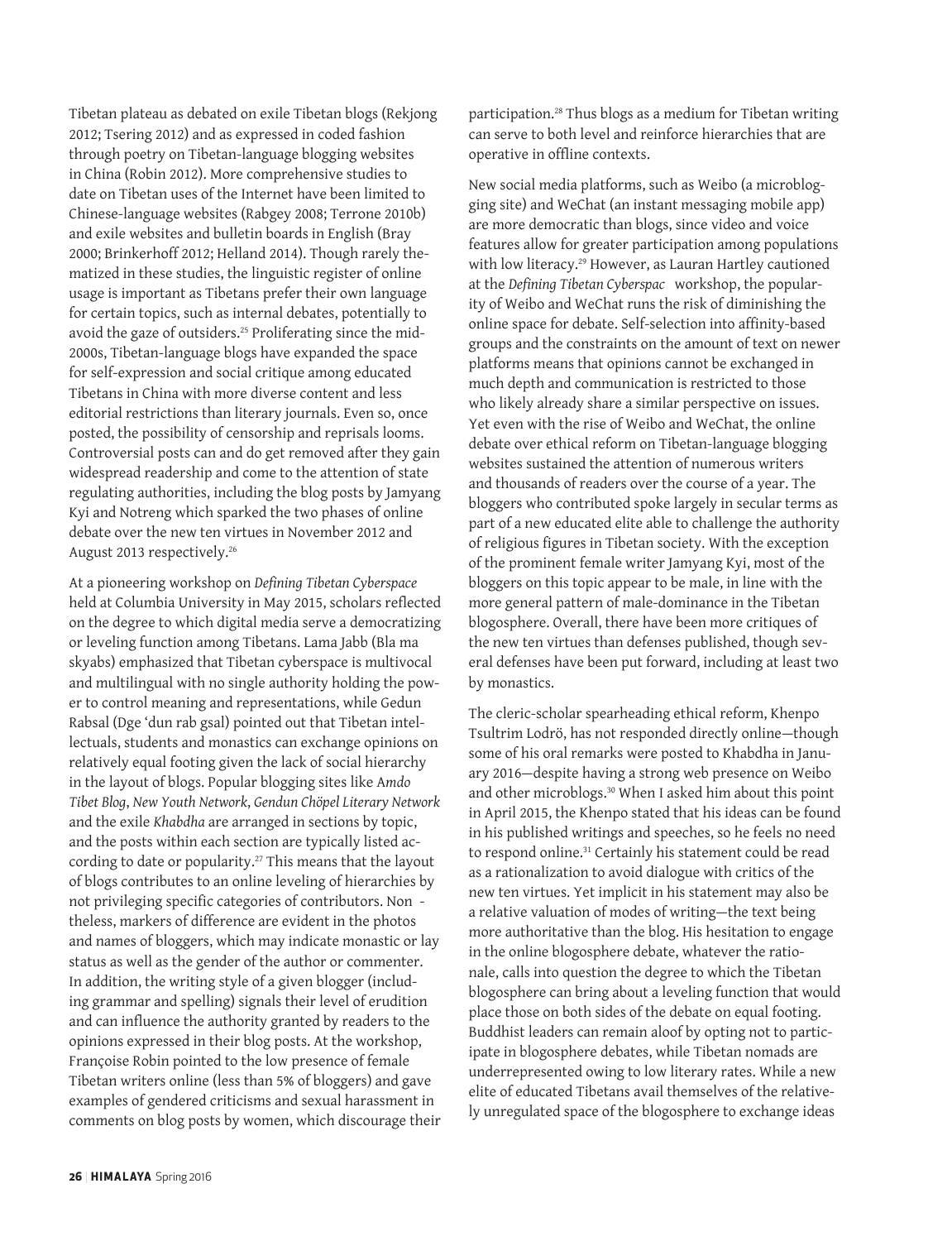Tibetan plateau as debated on exile Tibetan blogs (Rekjong 2012; Tsering 2012) and as expressed in coded fashion through poetry on Tibetan-language blogging websites in China (Robin 2012). More comprehensive studies to date on Tibetan uses of the Internet have been limited to Chinese-language websites (Rabgey 2008; Terrone 2010b) and exile websites and bulletin boards in English (Bray 2000; Brinkerhoff 2012; Helland 2014). Though rarely thematized in these studies, the linguistic register of online usage is important as Tibetans prefer their own language for certain topics, such as internal debates, potentially to avoid the gaze of outsiders.<sup>25</sup> Proliferating since the mid-2000s, Tibetan-language blogs have expanded the space for self-expression and social critique among educated Tibetans in China with more diverse content and less editorial restrictions than literary journals. Even so, once posted, the possibility of censorship and reprisals looms. Controversial posts can and do get removed after they gain widespread readership and come to the attention of state regulating authorities, including the blog posts by Jamyang Kyi and Notreng which sparked the two phases of online debate over the new ten virtues in November 2012 and August 2013 respectively.26

At a pioneering workshop on *Defining Tibetan Cyberspace* held at Columbia University in May 2015, scholars reflected on the degree to which digital media serve a democratizing or leveling function among Tibetans. Lama Jabb (Bla ma skyabs) emphasized that Tibetan cyberspace is multivocal and multilingual with no single authority holding the power to control meaning and representations, while Gedun Rabsal (Dge 'dun rab gsal) pointed out that Tibetan intellectuals, students and monastics can exchange opinions on relatively equal footing given the lack of social hierarchy in the layout of blogs. Popular blogging sites like A*mdo Tibet Blog*, *New Youth Network*, *Gendun Chöpel Literary Network*  and the exile *Khabdha* are arranged in sections by topic, and the posts within each section are typically listed according to date or popularity.<sup>27</sup> This means that the layout of blogs contributes to an online leveling of hierarchies by not privileging specific categories of contributors. Non theless, markers of difference are evident in the photos and names of bloggers, which may indicate monastic or lay status as well as the gender of the author or commenter. In addition, the writing style of a given blogger (including grammar and spelling) signals their level of erudition and can influence the authority granted by readers to the opinions expressed in their blog posts. At the workshop, Françoise Robin pointed to the low presence of female Tibetan writers online (less than 5% of bloggers) and gave examples of gendered criticisms and sexual harassment in comments on blog posts by women, which discourage their

participation.<sup>28</sup> Thus blogs as a medium for Tibetan writing can serve to both level and reinforce hierarchies that are operative in offline contexts.

New social media platforms, such as Weibo (a microblogging site) and WeChat (an instant messaging mobile app) are more democratic than blogs, since video and voice features allow for greater participation among populations with low literacy.<sup>29</sup> However, as Lauran Hartley cautioned at the *Defining Tibetan Cyberspac* workshop, the popularity of Weibo and WeChat runs the risk of diminishing the online space for debate. Self-selection into affinity-based groups and the constraints on the amount of text on newer platforms means that opinions cannot be exchanged in much depth and communication is restricted to those who likely already share a similar perspective on issues. Yet even with the rise of Weibo and WeChat, the online debate over ethical reform on Tibetan-language blogging websites sustained the attention of numerous writers and thousands of readers over the course of a year. The bloggers who contributed spoke largely in secular terms as part of a new educated elite able to challenge the authority of religious figures in Tibetan society. With the exception of the prominent female writer Jamyang Kyi, most of the bloggers on this topic appear to be male, in line with the more general pattern of male-dominance in the Tibetan blogosphere. Overall, there have been more critiques of the new ten virtues than defenses published, though several defenses have been put forward, including at least two by monastics.

The cleric-scholar spearheading ethical reform, Khenpo Tsultrim Lodrö, has not responded directly online—though some of his oral remarks were posted to Khabdha in January 2016—despite having a strong web presence on Weibo and other microblogs.30 When I asked him about this point in April 2015, the Khenpo stated that his ideas can be found in his published writings and speeches, so he feels no need to respond online.<sup>31</sup> Certainly his statement could be read as a rationalization to avoid dialogue with critics of the new ten virtues. Yet implicit in his statement may also be a relative valuation of modes of writing—the text being more authoritative than the blog. His hesitation to engage in the online blogosphere debate, whatever the rationale, calls into question the degree to which the Tibetan blogosphere can bring about a leveling function that would place those on both sides of the debate on equal footing. Buddhist leaders can remain aloof by opting not to participate in blogosphere debates, while Tibetan nomads are underrepresented owing to low literary rates. While a new elite of educated Tibetans avail themselves of the relatively unregulated space of the blogosphere to exchange ideas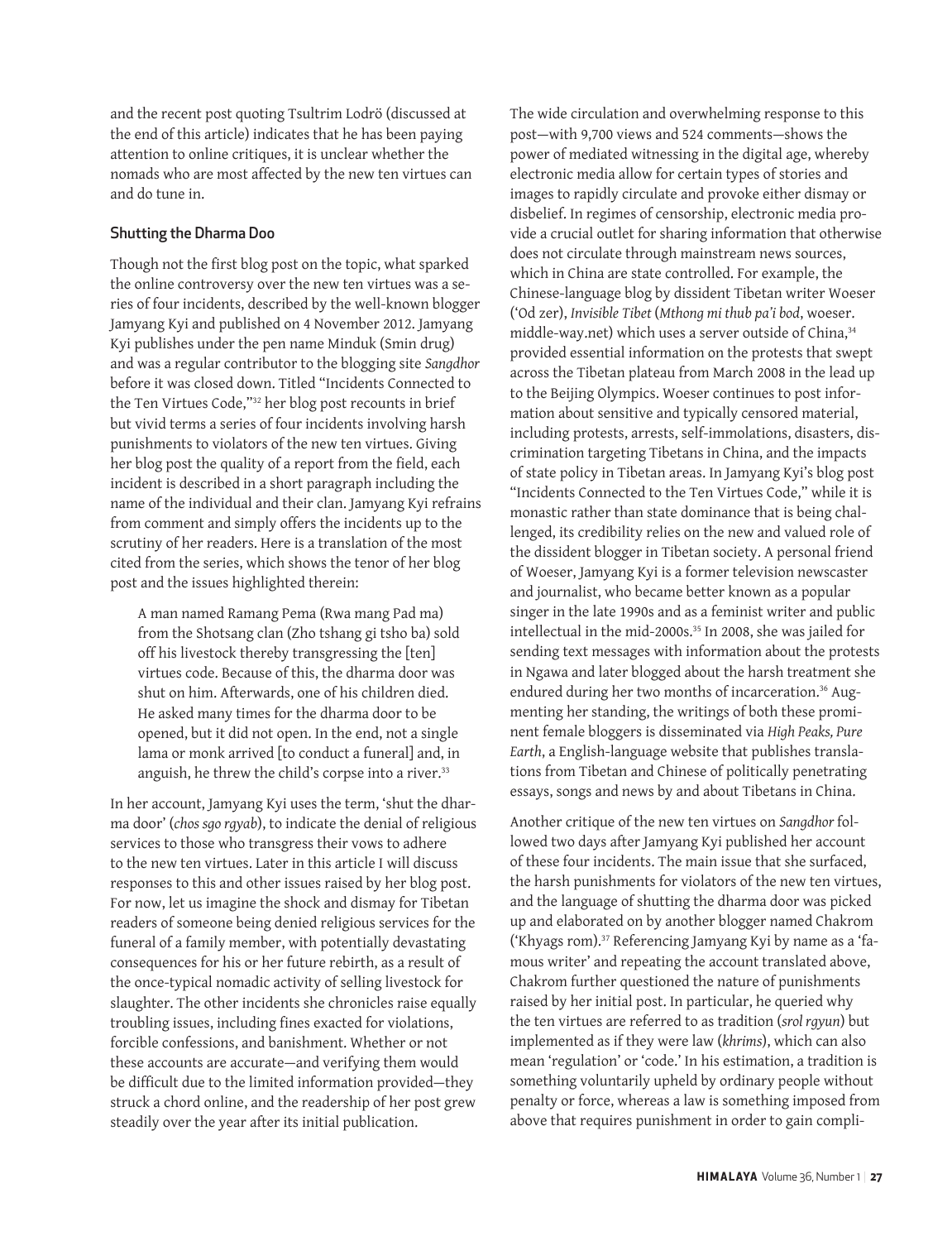and the recent post quoting Tsultrim Lodrö (discussed at the end of this article) indicates that he has been paying attention to online critiques, it is unclear whether the nomads who are most affected by the new ten virtues can and do tune in.

#### Shutting the Dharma Doo

Though not the first blog post on the topic, what sparked the online controversy over the new ten virtues was a series of four incidents, described by the well-known blogger Jamyang Kyi and published on 4 November 2012. Jamyang Kyi publishes under the pen name Minduk (Smin drug) and was a regular contributor to the blogging site *Sangdhor*  before it was closed down. Titled "Incidents Connected to the Ten Virtues Code,"32 her blog post recounts in brief but vivid terms a series of four incidents involving harsh punishments to violators of the new ten virtues. Giving her blog post the quality of a report from the field, each incident is described in a short paragraph including the name of the individual and their clan. Jamyang Kyi refrains from comment and simply offers the incidents up to the scrutiny of her readers. Here is a translation of the most cited from the series, which shows the tenor of her blog post and the issues highlighted therein:

A man named Ramang Pema (Rwa mang Pad ma) from the Shotsang clan (Zho tshang gi tsho ba) sold off his livestock thereby transgressing the [ten] virtues code. Because of this, the dharma door was shut on him. Afterwards, one of his children died. He asked many times for the dharma door to be opened, but it did not open. In the end, not a single lama or monk arrived [to conduct a funeral] and, in anguish, he threw the child's corpse into a river.<sup>33</sup>

In her account, Jamyang Kyi uses the term, 'shut the dharma door' (*chos sgo rgyab*), to indicate the denial of religious services to those who transgress their vows to adhere to the new ten virtues. Later in this article I will discuss responses to this and other issues raised by her blog post. For now, let us imagine the shock and dismay for Tibetan readers of someone being denied religious services for the funeral of a family member, with potentially devastating consequences for his or her future rebirth, as a result of the once-typical nomadic activity of selling livestock for slaughter. The other incidents she chronicles raise equally troubling issues, including fines exacted for violations, forcible confessions, and banishment. Whether or not these accounts are accurate—and verifying them would be difficult due to the limited information provided—they struck a chord online, and the readership of her post grew steadily over the year after its initial publication.

The wide circulation and overwhelming response to this post—with 9,700 views and 524 comments—shows the power of mediated witnessing in the digital age, whereby electronic media allow for certain types of stories and images to rapidly circulate and provoke either dismay or disbelief. In regimes of censorship, electronic media provide a crucial outlet for sharing information that otherwise does not circulate through mainstream news sources, which in China are state controlled. For example, the Chinese-language blog by dissident Tibetan writer Woeser ('Od zer), *Invisible Tibet* (*Mthong mi thub pa'i bod*, woeser. middle-way.net) which uses a server outside of China,<sup>34</sup> provided essential information on the protests that swept across the Tibetan plateau from March 2008 in the lead up to the Beijing Olympics. Woeser continues to post information about sensitive and typically censored material, including protests, arrests, self-immolations, disasters, discrimination targeting Tibetans in China, and the impacts of state policy in Tibetan areas. In Jamyang Kyi's blog post "Incidents Connected to the Ten Virtues Code," while it is monastic rather than state dominance that is being challenged, its credibility relies on the new and valued role of the dissident blogger in Tibetan society. A personal friend of Woeser, Jamyang Kyi is a former television newscaster and journalist, who became better known as a popular singer in the late 1990s and as a feminist writer and public intellectual in the mid-2000s.35 In 2008, she was jailed for sending text messages with information about the protests in Ngawa and later blogged about the harsh treatment she endured during her two months of incarceration.<sup>36</sup> Augmenting her standing, the writings of both these prominent female bloggers is disseminated via *High Peaks, Pure Earth*, a English-language website that publishes translations from Tibetan and Chinese of politically penetrating essays, songs and news by and about Tibetans in China.

Another critique of the new ten virtues on *Sangdhor* followed two days after Jamyang Kyi published her account of these four incidents. The main issue that she surfaced, the harsh punishments for violators of the new ten virtues, and the language of shutting the dharma door was picked up and elaborated on by another blogger named Chakrom ('Khyags rom).37 Referencing Jamyang Kyi by name as a 'famous writer' and repeating the account translated above, Chakrom further questioned the nature of punishments raised by her initial post. In particular, he queried why the ten virtues are referred to as tradition (*srol rgyun*) but implemented as if they were law (*khrims*), which can also mean 'regulation' or 'code.' In his estimation, a tradition is something voluntarily upheld by ordinary people without penalty or force, whereas a law is something imposed from above that requires punishment in order to gain compli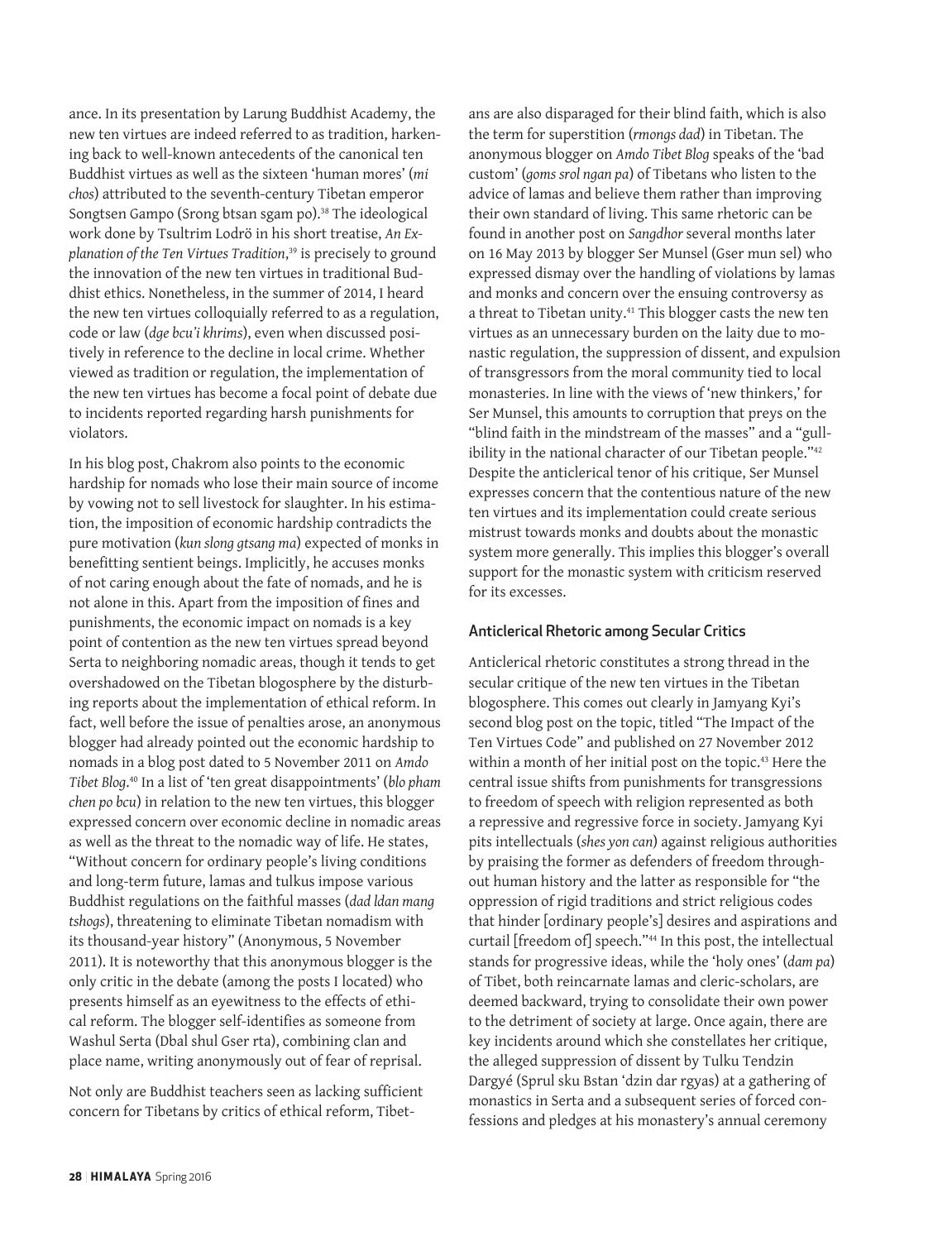ance. In its presentation by Larung Buddhist Academy, the new ten virtues are indeed referred to as tradition, harkening back to well-known antecedents of the canonical ten Buddhist virtues as well as the sixteen 'human mores' (*mi chos*) attributed to the seventh-century Tibetan emperor Songtsen Gampo (Srong btsan sgam po).<sup>38</sup> The ideological work done by Tsultrim Lodrö in his short treatise, *An Explanation of the Ten Virtues Tradition*, 39 is precisely to ground the innovation of the new ten virtues in traditional Buddhist ethics. Nonetheless, in the summer of 2014, I heard the new ten virtues colloquially referred to as a regulation, code or law (*dge bcu'i khrims*), even when discussed positively in reference to the decline in local crime. Whether viewed as tradition or regulation, the implementation of the new ten virtues has become a focal point of debate due to incidents reported regarding harsh punishments for violators.

In his blog post, Chakrom also points to the economic hardship for nomads who lose their main source of income by vowing not to sell livestock for slaughter. In his estimation, the imposition of economic hardship contradicts the pure motivation (*kun slong gtsang ma*) expected of monks in benefitting sentient beings. Implicitly, he accuses monks of not caring enough about the fate of nomads, and he is not alone in this. Apart from the imposition of fines and punishments, the economic impact on nomads is a key point of contention as the new ten virtues spread beyond Serta to neighboring nomadic areas, though it tends to get overshadowed on the Tibetan blogosphere by the disturbing reports about the implementation of ethical reform. In fact, well before the issue of penalties arose, an anonymous blogger had already pointed out the economic hardship to nomads in a blog post dated to 5 November 2011 on *Amdo Tibet Blog*. 40 In a list of 'ten great disappointments' (*blo pham chen po bcu*) in relation to the new ten virtues, this blogger expressed concern over economic decline in nomadic areas as well as the threat to the nomadic way of life. He states, "Without concern for ordinary people's living conditions and long-term future, lamas and tulkus impose various Buddhist regulations on the faithful masses (*dad ldan mang tshogs*), threatening to eliminate Tibetan nomadism with its thousand-year history" (Anonymous, 5 November 2011). It is noteworthy that this anonymous blogger is the only critic in the debate (among the posts I located) who presents himself as an eyewitness to the effects of ethical reform. The blogger self-identifies as someone from Washul Serta (Dbal shul Gser rta), combining clan and place name, writing anonymously out of fear of reprisal.

Not only are Buddhist teachers seen as lacking sufficient concern for Tibetans by critics of ethical reform, Tibet-

ans are also disparaged for their blind faith, which is also the term for superstition (*rmongs dad*) in Tibetan. The anonymous blogger on *Amdo Tibet Blog* speaks of the 'bad custom' (*goms srol ngan pa*) of Tibetans who listen to the advice of lamas and believe them rather than improving their own standard of living. This same rhetoric can be found in another post on *Sangdhor* several months later on 16 May 2013 by blogger Ser Munsel (Gser mun sel) who expressed dismay over the handling of violations by lamas and monks and concern over the ensuing controversy as a threat to Tibetan unity.<sup>41</sup> This blogger casts the new ten virtues as an unnecessary burden on the laity due to monastic regulation, the suppression of dissent, and expulsion of transgressors from the moral community tied to local monasteries. In line with the views of 'new thinkers,' for Ser Munsel, this amounts to corruption that preys on the "blind faith in the mindstream of the masses" and a "gullibility in the national character of our Tibetan people."<sup>42</sup> Despite the anticlerical tenor of his critique, Ser Munsel expresses concern that the contentious nature of the new ten virtues and its implementation could create serious mistrust towards monks and doubts about the monastic system more generally. This implies this blogger's overall support for the monastic system with criticism reserved for its excesses.

#### Anticlerical Rhetoric among Secular Critics

Anticlerical rhetoric constitutes a strong thread in the secular critique of the new ten virtues in the Tibetan blogosphere. This comes out clearly in Jamyang Kyi's second blog post on the topic, titled "The Impact of the Ten Virtues Code" and published on 27 November 2012 within a month of her initial post on the topic.<sup>43</sup> Here the central issue shifts from punishments for transgressions to freedom of speech with religion represented as both a repressive and regressive force in society. Jamyang Kyi pits intellectuals (*shes yon can*) against religious authorities by praising the former as defenders of freedom throughout human history and the latter as responsible for "the oppression of rigid traditions and strict religious codes that hinder [ordinary people's] desires and aspirations and curtail [freedom of] speech."44 In this post, the intellectual stands for progressive ideas, while the 'holy ones' (*dam pa*) of Tibet, both reincarnate lamas and cleric-scholars, are deemed backward, trying to consolidate their own power to the detriment of society at large. Once again, there are key incidents around which she constellates her critique, the alleged suppression of dissent by Tulku Tendzin Dargyé (Sprul sku Bstan 'dzin dar rgyas) at a gathering of monastics in Serta and a subsequent series of forced confessions and pledges at his monastery's annual ceremony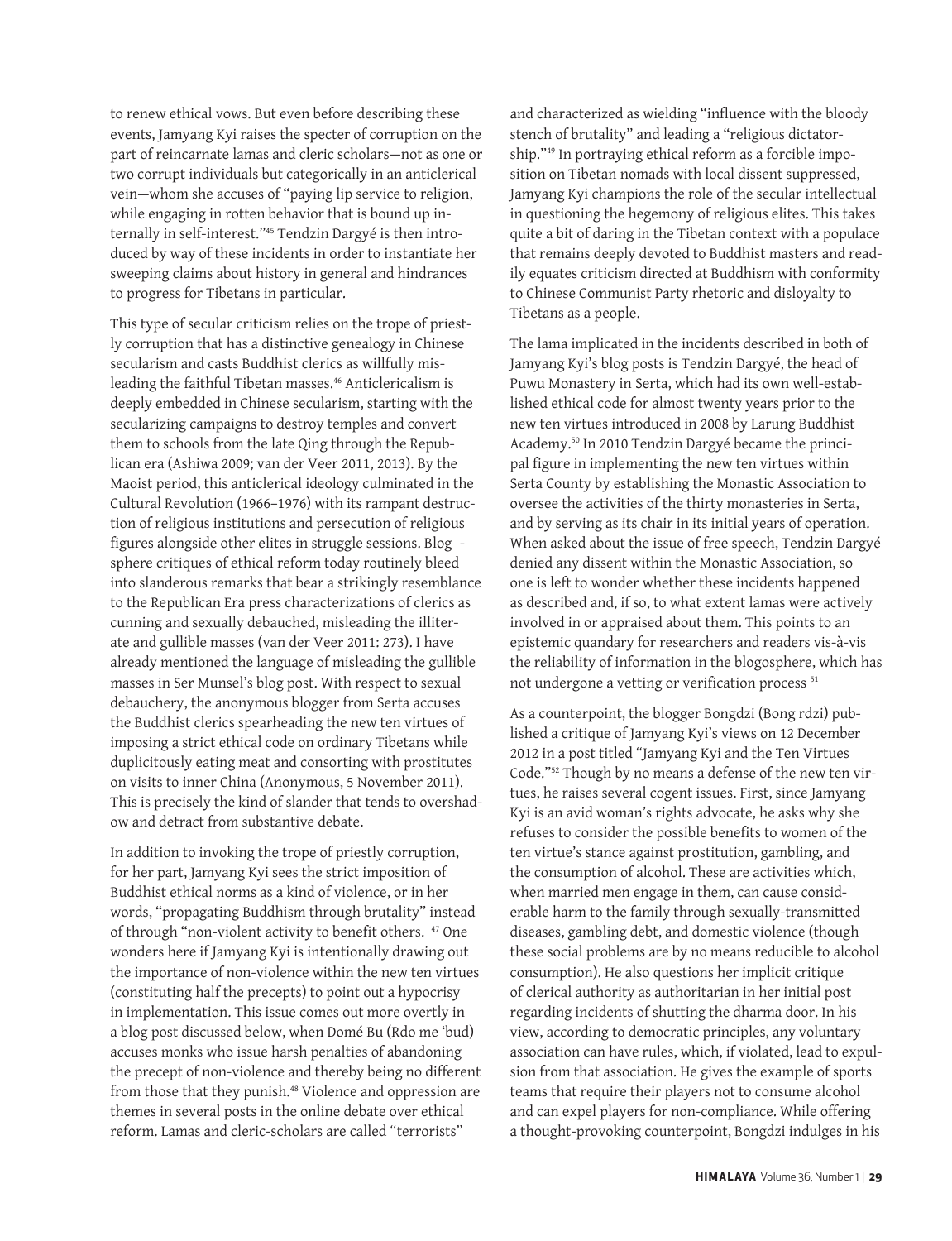to renew ethical vows. But even before describing these events, Jamyang Kyi raises the specter of corruption on the part of reincarnate lamas and cleric scholars—not as one or two corrupt individuals but categorically in an anticlerical vein—whom she accuses of "paying lip service to religion, while engaging in rotten behavior that is bound up internally in self-interest."45 Tendzin Dargyé is then introduced by way of these incidents in order to instantiate her sweeping claims about history in general and hindrances to progress for Tibetans in particular.

This type of secular criticism relies on the trope of priestly corruption that has a distinctive genealogy in Chinese secularism and casts Buddhist clerics as willfully misleading the faithful Tibetan masses.<sup>46</sup> Anticlericalism is deeply embedded in Chinese secularism, starting with the secularizing campaigns to destroy temples and convert them to schools from the late Qing through the Republican era (Ashiwa 2009; van der Veer 2011, 2013). By the Maoist period, this anticlerical ideology culminated in the Cultural Revolution (1966–1976) with its rampant destruction of religious institutions and persecution of religious figures alongside other elites in struggle sessions. Blog sphere critiques of ethical reform today routinely bleed into slanderous remarks that bear a strikingly resemblance to the Republican Era press characterizations of clerics as cunning and sexually debauched, misleading the illiterate and gullible masses (van der Veer 2011: 273). I have already mentioned the language of misleading the gullible masses in Ser Munsel's blog post. With respect to sexual debauchery, the anonymous blogger from Serta accuses the Buddhist clerics spearheading the new ten virtues of imposing a strict ethical code on ordinary Tibetans while duplicitously eating meat and consorting with prostitutes on visits to inner China (Anonymous, 5 November 2011). This is precisely the kind of slander that tends to overshadow and detract from substantive debate.

In addition to invoking the trope of priestly corruption, for her part, Jamyang Kyi sees the strict imposition of Buddhist ethical norms as a kind of violence, or in her words, "propagating Buddhism through brutality" instead of through "non-violent activity to benefit others. <sup>47</sup> One wonders here if Jamyang Kyi is intentionally drawing out the importance of non-violence within the new ten virtues (constituting half the precepts) to point out a hypocrisy in implementation. This issue comes out more overtly in a blog post discussed below, when Domé Bu (Rdo me 'bud) accuses monks who issue harsh penalties of abandoning the precept of non-violence and thereby being no different from those that they punish.<sup>48</sup> Violence and oppression are themes in several posts in the online debate over ethical reform. Lamas and cleric-scholars are called "terrorists"

and characterized as wielding "influence with the bloody stench of brutality" and leading a "religious dictatorship."49 In portraying ethical reform as a forcible imposition on Tibetan nomads with local dissent suppressed, Jamyang Kyi champions the role of the secular intellectual in questioning the hegemony of religious elites. This takes quite a bit of daring in the Tibetan context with a populace that remains deeply devoted to Buddhist masters and readily equates criticism directed at Buddhism with conformity to Chinese Communist Party rhetoric and disloyalty to Tibetans as a people.

The lama implicated in the incidents described in both of Jamyang Kyi's blog posts is Tendzin Dargyé, the head of Puwu Monastery in Serta, which had its own well-established ethical code for almost twenty years prior to the new ten virtues introduced in 2008 by Larung Buddhist Academy.50 In 2010 Tendzin Dargyé became the principal figure in implementing the new ten virtues within Serta County by establishing the Monastic Association to oversee the activities of the thirty monasteries in Serta, and by serving as its chair in its initial years of operation. When asked about the issue of free speech, Tendzin Dargyé denied any dissent within the Monastic Association, so one is left to wonder whether these incidents happened as described and, if so, to what extent lamas were actively involved in or appraised about them. This points to an epistemic quandary for researchers and readers vis-à-vis the reliability of information in the blogosphere, which has not undergone a vetting or verification process<sup>51</sup>

As a counterpoint, the blogger Bongdzi (Bong rdzi) published a critique of Jamyang Kyi's views on 12 December 2012 in a post titled "Jamyang Kyi and the Ten Virtues Code."52 Though by no means a defense of the new ten virtues, he raises several cogent issues. First, since Jamyang Kyi is an avid woman's rights advocate, he asks why she refuses to consider the possible benefits to women of the ten virtue's stance against prostitution, gambling, and the consumption of alcohol. These are activities which, when married men engage in them, can cause considerable harm to the family through sexually-transmitted diseases, gambling debt, and domestic violence (though these social problems are by no means reducible to alcohol consumption). He also questions her implicit critique of clerical authority as authoritarian in her initial post regarding incidents of shutting the dharma door. In his view, according to democratic principles, any voluntary association can have rules, which, if violated, lead to expulsion from that association. He gives the example of sports teams that require their players not to consume alcohol and can expel players for non-compliance. While offering a thought-provoking counterpoint, Bongdzi indulges in his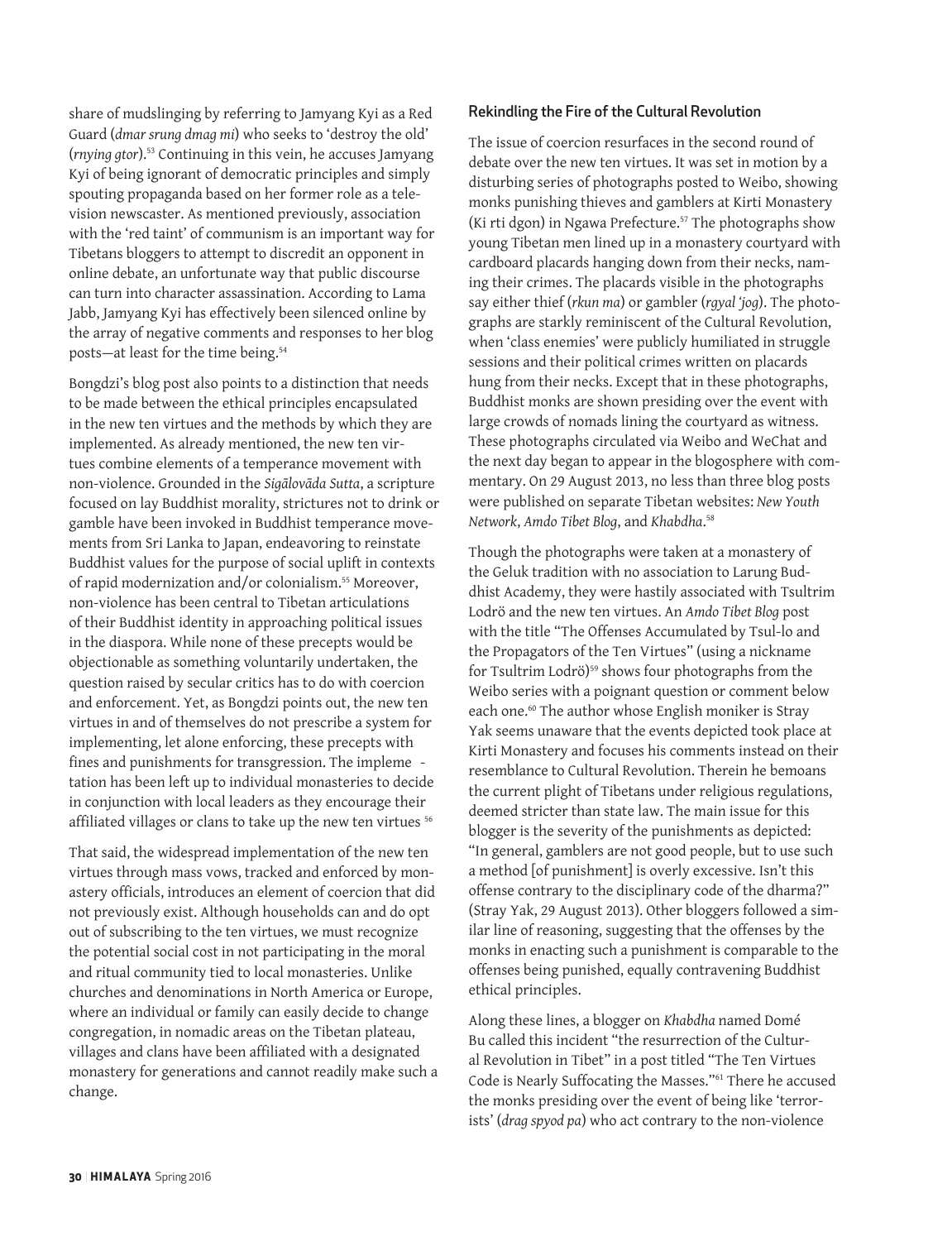share of mudslinging by referring to Jamyang Kyi as a Red Guard (*dmar srung dmag mi*) who seeks to 'destroy the old' (*rnying gtor*).53 Continuing in this vein, he accuses Jamyang Kyi of being ignorant of democratic principles and simply spouting propaganda based on her former role as a television newscaster. As mentioned previously, association with the 'red taint' of communism is an important way for Tibetans bloggers to attempt to discredit an opponent in online debate, an unfortunate way that public discourse can turn into character assassination. According to Lama Jabb, Jamyang Kyi has effectively been silenced online by the array of negative comments and responses to her blog posts-at least for the time being.<sup>54</sup>

Bongdzi's blog post also points to a distinction that needs to be made between the ethical principles encapsulated in the new ten virtues and the methods by which they are implemented. As already mentioned, the new ten virtues combine elements of a temperance movement with non-violence. Grounded in the *Sigālovāda Sutta*, a scripture focused on lay Buddhist morality, strictures not to drink or gamble have been invoked in Buddhist temperance movements from Sri Lanka to Japan, endeavoring to reinstate Buddhist values for the purpose of social uplift in contexts of rapid modernization and/or colonialism.55 Moreover, non-violence has been central to Tibetan articulations of their Buddhist identity in approaching political issues in the diaspora. While none of these precepts would be objectionable as something voluntarily undertaken, the question raised by secular critics has to do with coercion and enforcement. Yet, as Bongdzi points out, the new ten virtues in and of themselves do not prescribe a system for implementing, let alone enforcing, these precepts with fines and punishments for transgression. The impleme tation has been left up to individual monasteries to decide in conjunction with local leaders as they encourage their affiliated villages or clans to take up the new ten virtues<sup>56</sup>

That said, the widespread implementation of the new ten virtues through mass vows, tracked and enforced by monastery officials, introduces an element of coercion that did not previously exist. Although households can and do opt out of subscribing to the ten virtues, we must recognize the potential social cost in not participating in the moral and ritual community tied to local monasteries. Unlike churches and denominations in North America or Europe, where an individual or family can easily decide to change congregation, in nomadic areas on the Tibetan plateau, villages and clans have been affiliated with a designated monastery for generations and cannot readily make such a change.

#### Rekindling the Fire of the Cultural Revolution

The issue of coercion resurfaces in the second round of debate over the new ten virtues. It was set in motion by a disturbing series of photographs posted to Weibo, showing monks punishing thieves and gamblers at Kirti Monastery (Ki rti dgon) in Ngawa Prefecture.<sup>57</sup> The photographs show young Tibetan men lined up in a monastery courtyard with cardboard placards hanging down from their necks, naming their crimes. The placards visible in the photographs say either thief (*rkun ma*) or gambler (*rgyal 'jog*). The photographs are starkly reminiscent of the Cultural Revolution, when 'class enemies' were publicly humiliated in struggle sessions and their political crimes written on placards hung from their necks. Except that in these photographs, Buddhist monks are shown presiding over the event with large crowds of nomads lining the courtyard as witness. These photographs circulated via Weibo and WeChat and the next day began to appear in the blogosphere with commentary. On 29 August 2013, no less than three blog posts were published on separate Tibetan websites: *New Youth Network*, *Amdo Tibet Blog*, and *Khabdha*. 58

Though the photographs were taken at a monastery of the Geluk tradition with no association to Larung Buddhist Academy, they were hastily associated with Tsultrim Lodrö and the new ten virtues. An *Amdo Tibet Blog* post with the title "The Offenses Accumulated by Tsul-lo and the Propagators of the Ten Virtues" (using a nickname for Tsultrim Lodrö)<sup>59</sup> shows four photographs from the Weibo series with a poignant question or comment below each one.<sup>60</sup> The author whose English moniker is Stray Yak seems unaware that the events depicted took place at Kirti Monastery and focuses his comments instead on their resemblance to Cultural Revolution. Therein he bemoans the current plight of Tibetans under religious regulations, deemed stricter than state law. The main issue for this blogger is the severity of the punishments as depicted: "In general, gamblers are not good people, but to use such a method [of punishment] is overly excessive. Isn't this offense contrary to the disciplinary code of the dharma?" (Stray Yak, 29 August 2013). Other bloggers followed a similar line of reasoning, suggesting that the offenses by the monks in enacting such a punishment is comparable to the offenses being punished, equally contravening Buddhist ethical principles.

Along these lines, a blogger on *Khabdha* named Domé Bu called this incident "the resurrection of the Cultural Revolution in Tibet" in a post titled "The Ten Virtues Code is Nearly Suffocating the Masses."61 There he accused the monks presiding over the event of being like 'terrorists' (*drag spyod pa*) who act contrary to the non-violence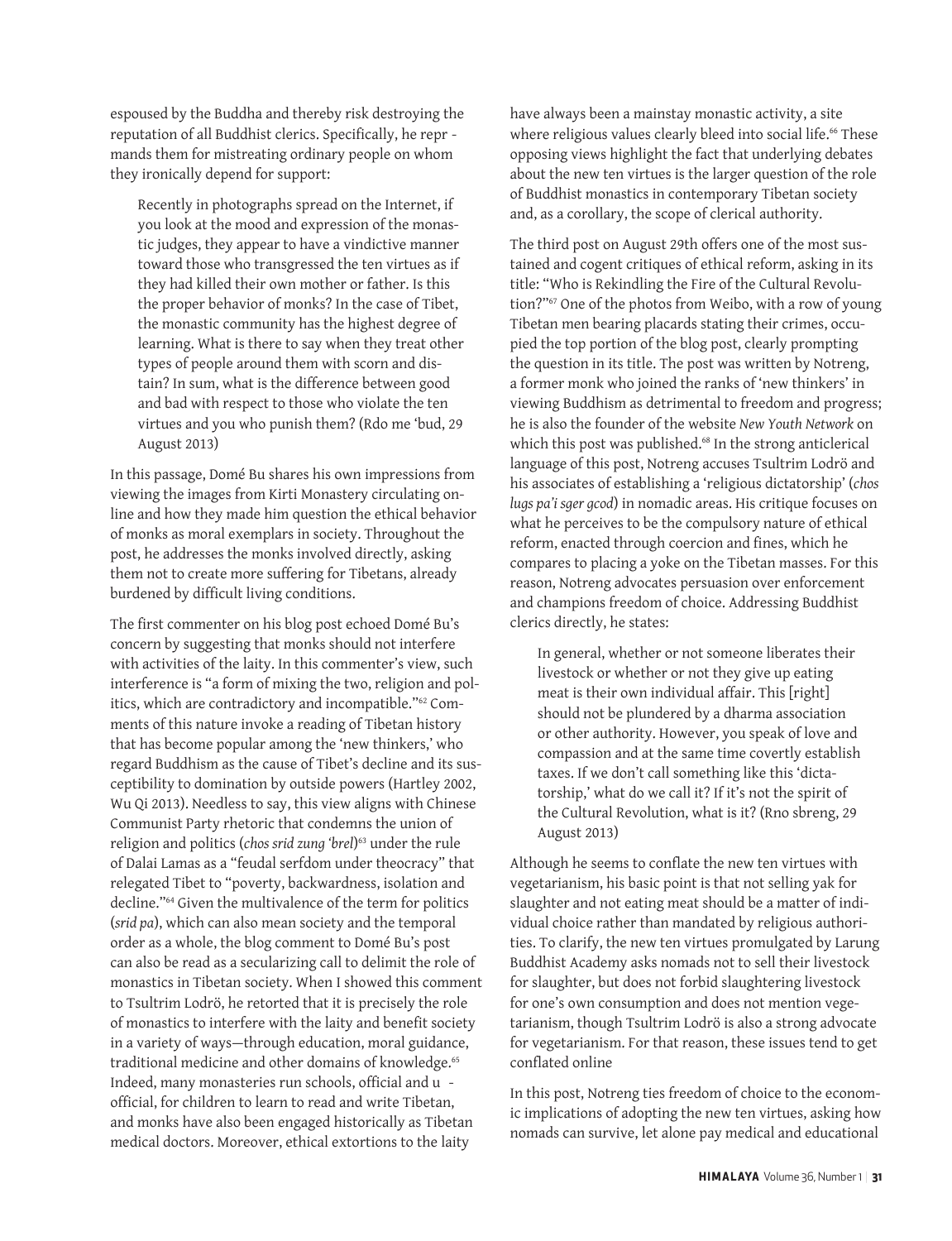espoused by the Buddha and thereby risk destroying the reputation of all Buddhist clerics. Specifically, he repr mands them for mistreating ordinary people on whom they ironically depend for support:

Recently in photographs spread on the Internet, if you look at the mood and expression of the monastic judges, they appear to have a vindictive manner toward those who transgressed the ten virtues as if they had killed their own mother or father. Is this the proper behavior of monks? In the case of Tibet, the monastic community has the highest degree of learning. What is there to say when they treat other types of people around them with scorn and distain? In sum, what is the difference between good and bad with respect to those who violate the ten virtues and you who punish them? (Rdo me 'bud, 29 August 2013)

In this passage, Domé Bu shares his own impressions from viewing the images from Kirti Monastery circulating online and how they made him question the ethical behavior of monks as moral exemplars in society. Throughout the post, he addresses the monks involved directly, asking them not to create more suffering for Tibetans, already burdened by difficult living conditions.

The first commenter on his blog post echoed Domé Bu's concern by suggesting that monks should not interfere with activities of the laity. In this commenter's view, such interference is "a form of mixing the two, religion and politics, which are contradictory and incompatible."62 Comments of this nature invoke a reading of Tibetan history that has become popular among the 'new thinkers,' who regard Buddhism as the cause of Tibet's decline and its susceptibility to domination by outside powers (Hartley 2002, Wu Qi 2013). Needless to say, this view aligns with Chinese Communist Party rhetoric that condemns the union of religion and politics (*chos srid zung 'brel*) 63 under the rule of Dalai Lamas as a "feudal serfdom under theocracy" that relegated Tibet to "poverty, backwardness, isolation and decline."64 Given the multivalence of the term for politics (*srid pa*), which can also mean society and the temporal order as a whole, the blog comment to Domé Bu's post can also be read as a secularizing call to delimit the role of monastics in Tibetan society. When I showed this comment to Tsultrim Lodrö, he retorted that it is precisely the role of monastics to interfere with the laity and benefit society in a variety of ways—through education, moral guidance, traditional medicine and other domains of knowledge.<sup>65</sup> Indeed, many monasteries run schools, official and u official, for children to learn to read and write Tibetan, and monks have also been engaged historically as Tibetan medical doctors. Moreover, ethical extortions to the laity

have always been a mainstay monastic activity, a site where religious values clearly bleed into social life.<sup>66</sup> These opposing views highlight the fact that underlying debates about the new ten virtues is the larger question of the role of Buddhist monastics in contemporary Tibetan society and, as a corollary, the scope of clerical authority.

The third post on August 29th offers one of the most sustained and cogent critiques of ethical reform, asking in its title: "Who is Rekindling the Fire of the Cultural Revolution?"67 One of the photos from Weibo, with a row of young Tibetan men bearing placards stating their crimes, occupied the top portion of the blog post, clearly prompting the question in its title. The post was written by Notreng, a former monk who joined the ranks of 'new thinkers' in viewing Buddhism as detrimental to freedom and progress; he is also the founder of the website *New Youth Network* on which this post was published.<sup>68</sup> In the strong anticlerical language of this post, Notreng accuses Tsultrim Lodrö and his associates of establishing a 'religious dictatorship' (*chos lugs pa'i sger gcod*) in nomadic areas. His critique focuses on what he perceives to be the compulsory nature of ethical reform, enacted through coercion and fines, which he compares to placing a yoke on the Tibetan masses. For this reason, Notreng advocates persuasion over enforcement and champions freedom of choice. Addressing Buddhist clerics directly, he states:

In general, whether or not someone liberates their livestock or whether or not they give up eating meat is their own individual affair. This [right] should not be plundered by a dharma association or other authority. However, you speak of love and compassion and at the same time covertly establish taxes. If we don't call something like this 'dictatorship,' what do we call it? If it's not the spirit of the Cultural Revolution, what is it? (Rno sbreng, 29 August 2013)

Although he seems to conflate the new ten virtues with vegetarianism, his basic point is that not selling yak for slaughter and not eating meat should be a matter of individual choice rather than mandated by religious authorities. To clarify, the new ten virtues promulgated by Larung Buddhist Academy asks nomads not to sell their livestock for slaughter, but does not forbid slaughtering livestock for one's own consumption and does not mention vegetarianism, though Tsultrim Lodrö is also a strong advocate for vegetarianism. For that reason, these issues tend to get conflated online

In this post, Notreng ties freedom of choice to the economic implications of adopting the new ten virtues, asking how nomads can survive, let alone pay medical and educational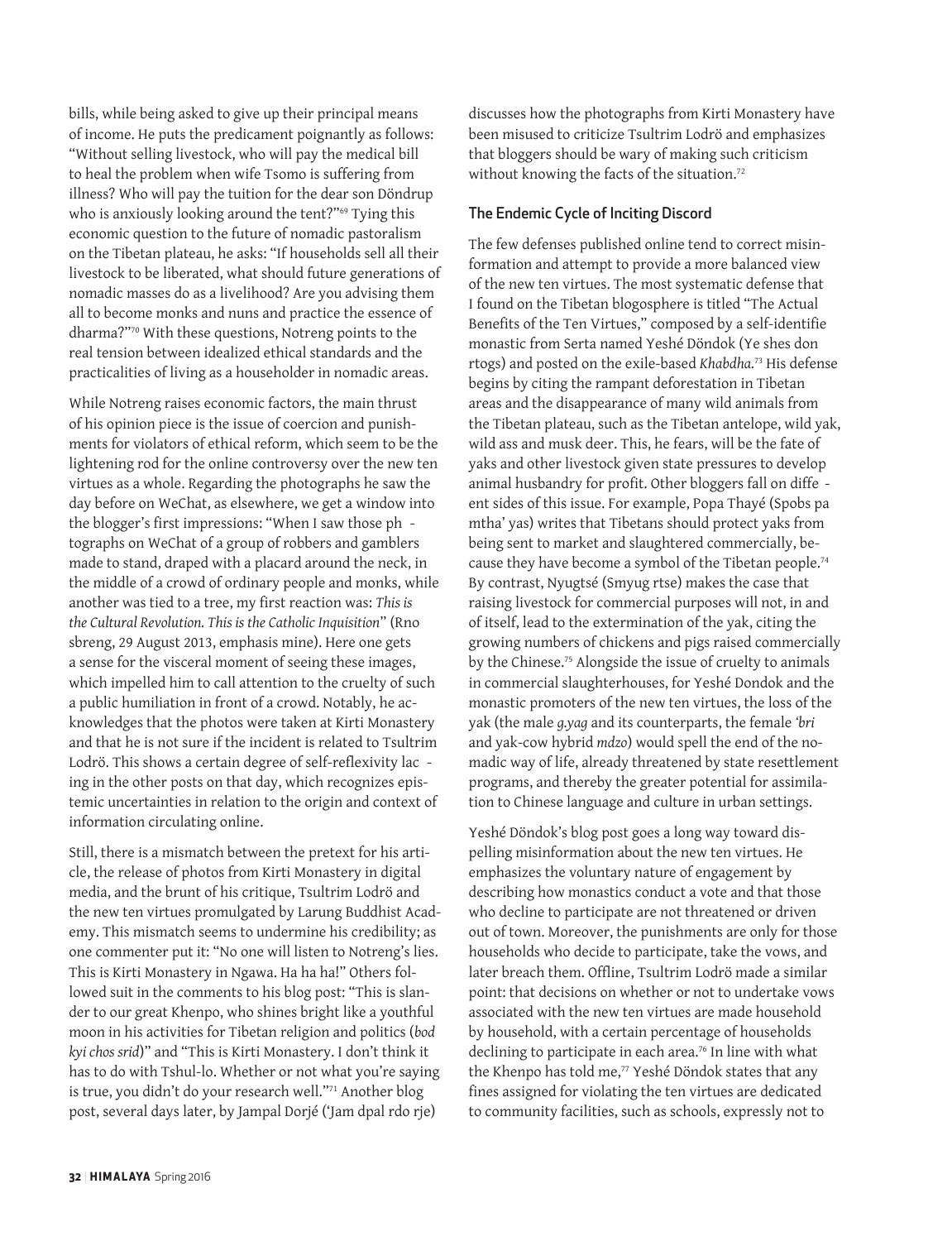bills, while being asked to give up their principal means of income. He puts the predicament poignantly as follows: "Without selling livestock, who will pay the medical bill to heal the problem when wife Tsomo is suffering from illness? Who will pay the tuition for the dear son Döndrup who is anxiously looking around the tent?"<sup>69</sup> Tying this economic question to the future of nomadic pastoralism on the Tibetan plateau, he asks: "If households sell all their livestock to be liberated, what should future generations of nomadic masses do as a livelihood? Are you advising them all to become monks and nuns and practice the essence of dharma?"70 With these questions, Notreng points to the real tension between idealized ethical standards and the practicalities of living as a householder in nomadic areas.

While Notreng raises economic factors, the main thrust of his opinion piece is the issue of coercion and punishments for violators of ethical reform, which seem to be the lightening rod for the online controversy over the new ten virtues as a whole. Regarding the photographs he saw the day before on WeChat, as elsewhere, we get a window into the blogger's first impressions: "When I saw those ph tographs on WeChat of a group of robbers and gamblers made to stand, draped with a placard around the neck, in the middle of a crowd of ordinary people and monks, while another was tied to a tree, my first reaction was: *This is the Cultural Revolution. This is the Catholic Inquisition*" (Rno sbreng, 29 August 2013, emphasis mine). Here one gets a sense for the visceral moment of seeing these images, which impelled him to call attention to the cruelty of such a public humiliation in front of a crowd. Notably, he acknowledges that the photos were taken at Kirti Monastery and that he is not sure if the incident is related to Tsultrim Lodrö. This shows a certain degree of self-reflexivity lac ing in the other posts on that day, which recognizes epistemic uncertainties in relation to the origin and context of information circulating online.

Still, there is a mismatch between the pretext for his article, the release of photos from Kirti Monastery in digital media, and the brunt of his critique, Tsultrim Lodrö and the new ten virtues promulgated by Larung Buddhist Academy. This mismatch seems to undermine his credibility; as one commenter put it: "No one will listen to Notreng's lies. This is Kirti Monastery in Ngawa. Ha ha ha!" Others followed suit in the comments to his blog post: "This is slander to our great Khenpo, who shines bright like a youthful moon in his activities for Tibetan religion and politics (*bod kyi chos srid*)" and "This is Kirti Monastery. I don't think it has to do with Tshul-lo. Whether or not what you're saying is true, you didn't do your research well."71 Another blog post, several days later, by Jampal Dorjé ('Jam dpal rdo rje)

discusses how the photographs from Kirti Monastery have been misused to criticize Tsultrim Lodrö and emphasizes that bloggers should be wary of making such criticism without knowing the facts of the situation.<sup>72</sup>

#### The Endemic Cycle of Inciting Discord

The few defenses published online tend to correct misinformation and attempt to provide a more balanced view of the new ten virtues. The most systematic defense that I found on the Tibetan blogosphere is titled "The Actual Benefits of the Ten Virtues," composed by a self-identifie monastic from Serta named Yeshé Döndok (Ye shes don rtogs) and posted on the exile-based *Khabdha.*73 His defense begins by citing the rampant deforestation in Tibetan areas and the disappearance of many wild animals from the Tibetan plateau, such as the Tibetan antelope, wild yak, wild ass and musk deer. This, he fears, will be the fate of yaks and other livestock given state pressures to develop animal husbandry for profit. Other bloggers fall on diffe ent sides of this issue. For example, Popa Thayé (Spobs pa mtha' yas) writes that Tibetans should protect yaks from being sent to market and slaughtered commercially, because they have become a symbol of the Tibetan people.<sup>74</sup> By contrast, Nyugtsé (Smyug rtse) makes the case that raising livestock for commercial purposes will not, in and of itself, lead to the extermination of the yak, citing the growing numbers of chickens and pigs raised commercially by the Chinese.<sup>75</sup> Alongside the issue of cruelty to animals in commercial slaughterhouses, for Yeshé Dondok and the monastic promoters of the new ten virtues, the loss of the yak (the male *g.yag* and its counterparts, the female *'bri* and yak-cow hybrid *mdzo*) would spell the end of the nomadic way of life, already threatened by state resettlement programs, and thereby the greater potential for assimilation to Chinese language and culture in urban settings.

Yeshé Döndok's blog post goes a long way toward dispelling misinformation about the new ten virtues. He emphasizes the voluntary nature of engagement by describing how monastics conduct a vote and that those who decline to participate are not threatened or driven out of town. Moreover, the punishments are only for those households who decide to participate, take the vows, and later breach them. Offline, Tsultrim Lodrö made a similar point: that decisions on whether or not to undertake vows associated with the new ten virtues are made household by household, with a certain percentage of households declining to participate in each area.<sup>76</sup> In line with what the Khenpo has told me,<sup>77</sup> Yeshé Döndok states that any fines assigned for violating the ten virtues are dedicated to community facilities, such as schools, expressly not to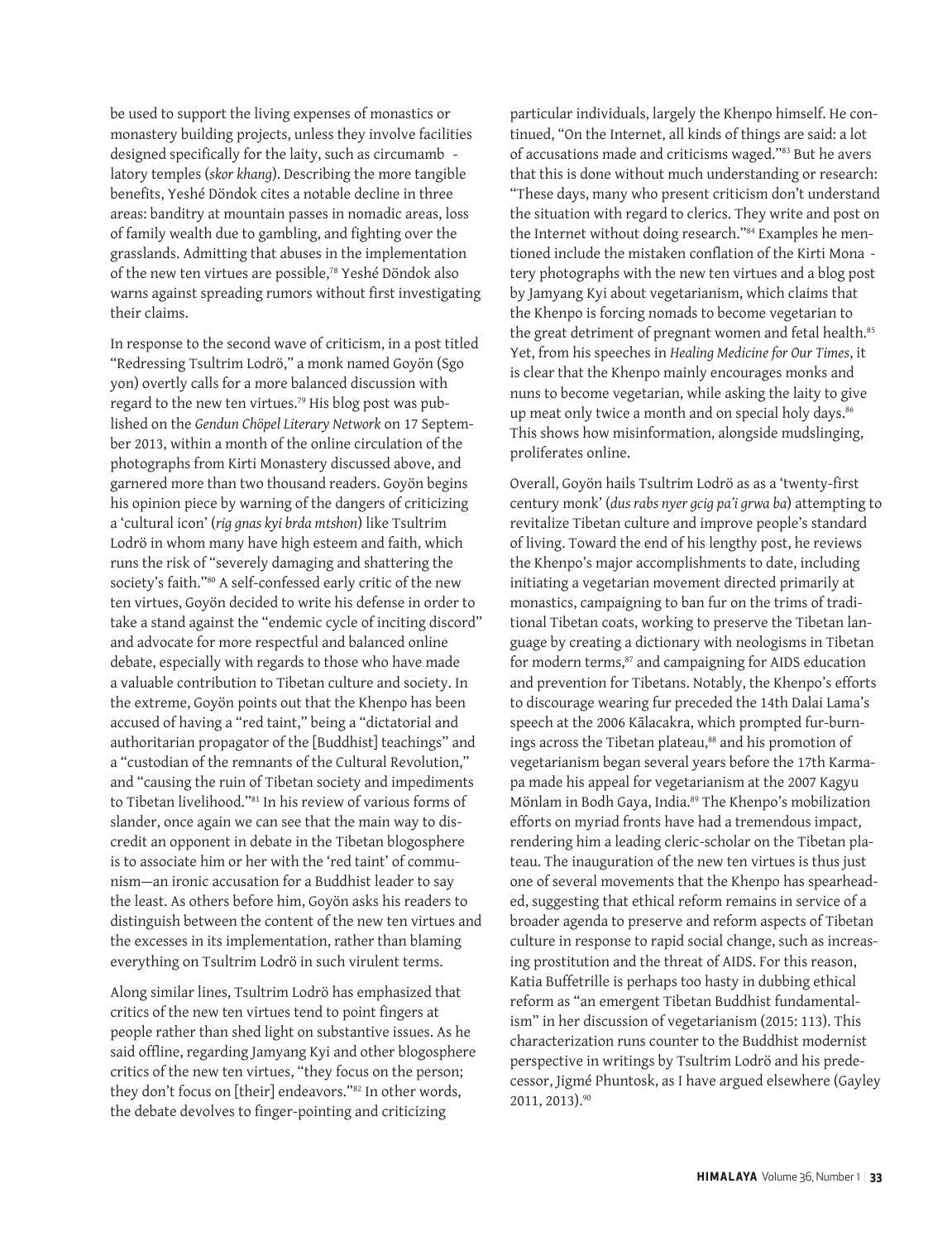be used to support the living expenses of monastics or monastery building projects, unless they involve facilities designed specifically for the laity, such as circumamb latory temples (*skor khang*). Describing the more tangible benefits, Yeshé Döndok cites a notable decline in three areas: banditry at mountain passes in nomadic areas, loss of family wealth due to gambling, and fighting over the grasslands. Admitting that abuses in the implementation of the new ten virtues are possible,78 Yeshé Döndok also warns against spreading rumors without first investigating their claims.

In response to the second wave of criticism, in a post titled "Redressing Tsultrim Lodrö," a monk named Goyön (Sgo yon) overtly calls for a more balanced discussion with regard to the new ten virtues.<sup>79</sup> His blog post was published on the *Gendun Chöpel Literary Network* on 17 September 2013, within a month of the online circulation of the photographs from Kirti Monastery discussed above, and garnered more than two thousand readers. Goyön begins his opinion piece by warning of the dangers of criticizing a 'cultural icon' (*rig gnas kyi brda mtshon*) like Tsultrim Lodrö in whom many have high esteem and faith, which runs the risk of "severely damaging and shattering the society's faith."80 A self-confessed early critic of the new ten virtues, Goyön decided to write his defense in order to take a stand against the "endemic cycle of inciting discord" and advocate for more respectful and balanced online debate, especially with regards to those who have made a valuable contribution to Tibetan culture and society. In the extreme, Goyön points out that the Khenpo has been accused of having a "red taint," being a "dictatorial and authoritarian propagator of the [Buddhist] teachings" and a "custodian of the remnants of the Cultural Revolution," and "causing the ruin of Tibetan society and impediments to Tibetan livelihood."81 In his review of various forms of slander, once again we can see that the main way to discredit an opponent in debate in the Tibetan blogosphere is to associate him or her with the 'red taint' of communism—an ironic accusation for a Buddhist leader to say the least. As others before him, Goyön asks his readers to distinguish between the content of the new ten virtues and the excesses in its implementation, rather than blaming everything on Tsultrim Lodrö in such virulent terms.

Along similar lines, Tsultrim Lodrö has emphasized that critics of the new ten virtues tend to point fingers at people rather than shed light on substantive issues. As he said offline, regarding Jamyang Kyi and other blogosphere critics of the new ten virtues, "they focus on the person; they don't focus on [their] endeavors."82 In other words, the debate devolves to finger-pointing and criticizing

particular individuals, largely the Khenpo himself. He continued, "On the Internet, all kinds of things are said: a lot of accusations made and criticisms waged."83 But he avers that this is done without much understanding or research: "These days, many who present criticism don't understand the situation with regard to clerics. They write and post on the Internet without doing research."84 Examples he mentioned include the mistaken conflation of the Kirti Mona tery photographs with the new ten virtues and a blog post by Jamyang Kyi about vegetarianism, which claims that the Khenpo is forcing nomads to become vegetarian to the great detriment of pregnant women and fetal health.<sup>85</sup> Yet, from his speeches in *Healing Medicine for Our Times*, it is clear that the Khenpo mainly encourages monks and nuns to become vegetarian, while asking the laity to give up meat only twice a month and on special holy days.<sup>86</sup> This shows how misinformation, alongside mudslinging, proliferates online.

Overall, Goyön hails Tsultrim Lodrö as as a 'twenty-first century monk' (*dus rabs nyer gcig pa'i grwa ba*) attempting to revitalize Tibetan culture and improve people's standard of living. Toward the end of his lengthy post, he reviews the Khenpo's major accomplishments to date, including initiating a vegetarian movement directed primarily at monastics, campaigning to ban fur on the trims of traditional Tibetan coats, working to preserve the Tibetan language by creating a dictionary with neologisms in Tibetan for modern terms,<sup>87</sup> and campaigning for AIDS education and prevention for Tibetans. Notably, the Khenpo's efforts to discourage wearing fur preceded the 14th Dalai Lama's speech at the 2006 Kālacakra, which prompted fur-burnings across the Tibetan plateau,<sup>88</sup> and his promotion of vegetarianism began several years before the 17th Karmapa made his appeal for vegetarianism at the 2007 Kagyu Mönlam in Bodh Gaya, India.<sup>89</sup> The Khenpo's mobilization efforts on myriad fronts have had a tremendous impact, rendering him a leading cleric-scholar on the Tibetan plateau. The inauguration of the new ten virtues is thus just one of several movements that the Khenpo has spearheaded, suggesting that ethical reform remains in service of a broader agenda to preserve and reform aspects of Tibetan culture in response to rapid social change, such as increasing prostitution and the threat of AIDS. For this reason, Katia Buffetrille is perhaps too hasty in dubbing ethical reform as "an emergent Tibetan Buddhist fundamentalism" in her discussion of vegetarianism (2015: 113). This characterization runs counter to the Buddhist modernist perspective in writings by Tsultrim Lodrö and his predecessor, Jigmé Phuntosk, as I have argued elsewhere (Gayley 2011, 2013).90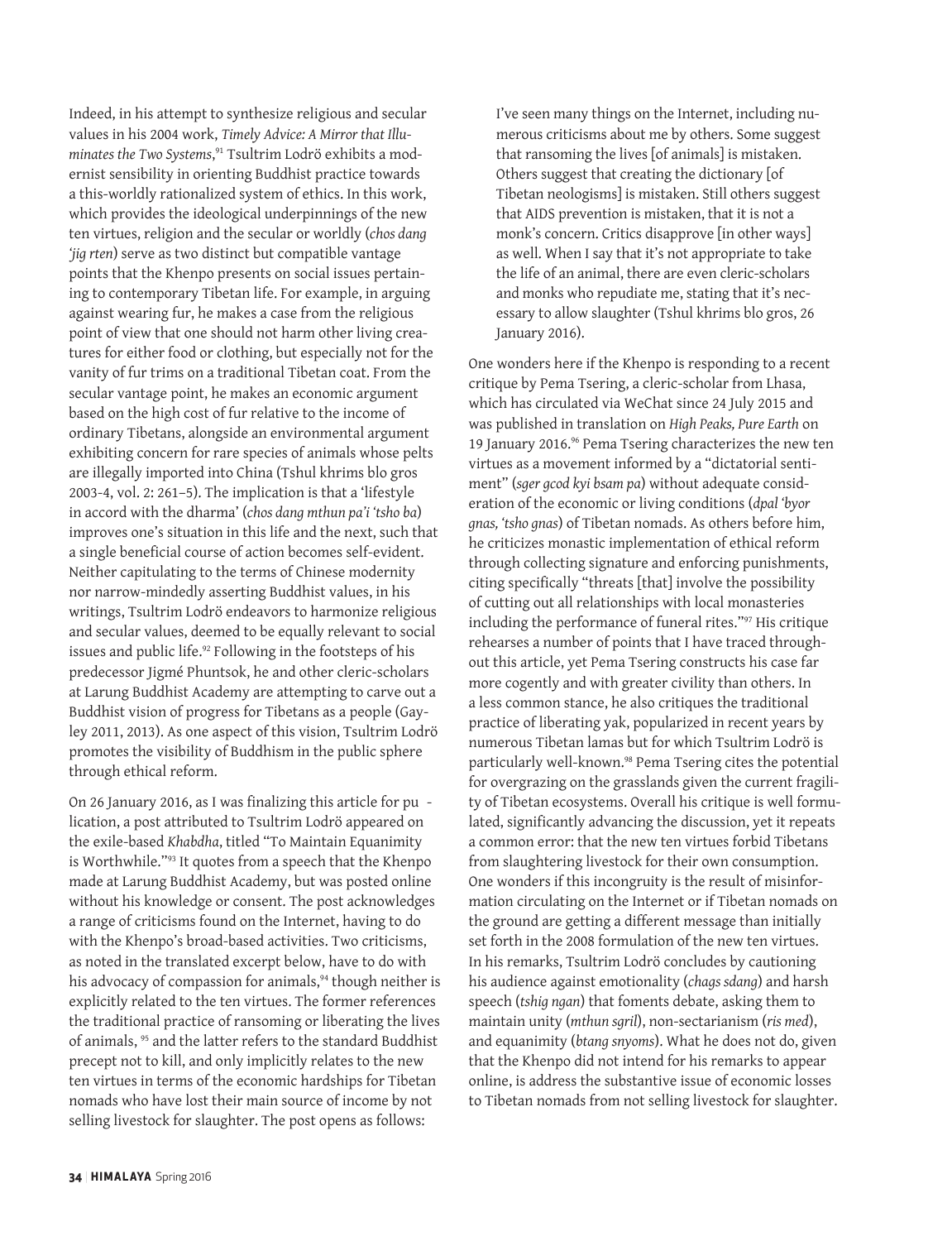Indeed, in his attempt to synthesize religious and secular values in his 2004 work, *Timely Advice: A Mirror that Illuminates the Two Systems*, 91 Tsultrim Lodrö exhibits a modernist sensibility in orienting Buddhist practice towards a this-worldly rationalized system of ethics. In this work, which provides the ideological underpinnings of the new ten virtues, religion and the secular or worldly (*chos dang 'jig rten*) serve as two distinct but compatible vantage points that the Khenpo presents on social issues pertaining to contemporary Tibetan life. For example, in arguing against wearing fur, he makes a case from the religious point of view that one should not harm other living creatures for either food or clothing, but especially not for the vanity of fur trims on a traditional Tibetan coat. From the secular vantage point, he makes an economic argument based on the high cost of fur relative to the income of ordinary Tibetans, alongside an environmental argument exhibiting concern for rare species of animals whose pelts are illegally imported into China (Tshul khrims blo gros 2003-4, vol. 2: 261–5). The implication is that a 'lifestyle in accord with the dharma' (*chos dang mthun pa'i 'tsho ba*) improves one's situation in this life and the next, such that a single beneficial course of action becomes self-evident. Neither capitulating to the terms of Chinese modernity nor narrow-mindedly asserting Buddhist values, in his writings, Tsultrim Lodrö endeavors to harmonize religious and secular values, deemed to be equally relevant to social issues and public life.<sup>92</sup> Following in the footsteps of his predecessor Jigmé Phuntsok, he and other cleric-scholars at Larung Buddhist Academy are attempting to carve out a Buddhist vision of progress for Tibetans as a people (Gayley 2011, 2013). As one aspect of this vision, Tsultrim Lodrö promotes the visibility of Buddhism in the public sphere through ethical reform.

On 26 January 2016, as I was finalizing this article for pu lication, a post attributed to Tsultrim Lodrö appeared on the exile-based *Khabdha*, titled "To Maintain Equanimity is Worthwhile."93 It quotes from a speech that the Khenpo made at Larung Buddhist Academy, but was posted online without his knowledge or consent. The post acknowledges a range of criticisms found on the Internet, having to do with the Khenpo's broad-based activities. Two criticisms, as noted in the translated excerpt below, have to do with his advocacy of compassion for animals,<sup>94</sup> though neither is explicitly related to the ten virtues. The former references the traditional practice of ransoming or liberating the lives of animals, <sup>95</sup> and the latter refers to the standard Buddhist precept not to kill, and only implicitly relates to the new ten virtues in terms of the economic hardships for Tibetan nomads who have lost their main source of income by not selling livestock for slaughter. The post opens as follows:

I've seen many things on the Internet, including numerous criticisms about me by others. Some suggest that ransoming the lives [of animals] is mistaken. Others suggest that creating the dictionary [of Tibetan neologisms] is mistaken. Still others suggest that AIDS prevention is mistaken, that it is not a monk's concern. Critics disapprove [in other ways] as well. When I say that it's not appropriate to take the life of an animal, there are even cleric-scholars and monks who repudiate me, stating that it's necessary to allow slaughter (Tshul khrims blo gros, 26 January 2016).

One wonders here if the Khenpo is responding to a recent critique by Pema Tsering, a cleric-scholar from Lhasa, which has circulated via WeChat since 24 July 2015 and was published in translation on *High Peaks, Pure Earth* on 19 January 2016.<sup>96</sup> Pema Tsering characterizes the new ten virtues as a movement informed by a "dictatorial sentiment" (*sger gcod kyi bsam pa*) without adequate consideration of the economic or living conditions (*dpal 'byor gnas, 'tsho gnas*) of Tibetan nomads. As others before him, he criticizes monastic implementation of ethical reform through collecting signature and enforcing punishments, citing specifically "threats [that] involve the possibility of cutting out all relationships with local monasteries including the performance of funeral rites."97 His critique rehearses a number of points that I have traced throughout this article, yet Pema Tsering constructs his case far more cogently and with greater civility than others. In a less common stance, he also critiques the traditional practice of liberating yak, popularized in recent years by numerous Tibetan lamas but for which Tsultrim Lodrö is particularly well-known.<sup>98</sup> Pema Tsering cites the potential for overgrazing on the grasslands given the current fragility of Tibetan ecosystems. Overall his critique is well formulated, significantly advancing the discussion, yet it repeats a common error: that the new ten virtues forbid Tibetans from slaughtering livestock for their own consumption. One wonders if this incongruity is the result of misinformation circulating on the Internet or if Tibetan nomads on the ground are getting a different message than initially set forth in the 2008 formulation of the new ten virtues. In his remarks, Tsultrim Lodrö concludes by cautioning his audience against emotionality (*chags sdang*) and harsh speech (*tshig ngan*) that foments debate, asking them to maintain unity (*mthun sgril*), non-sectarianism (*ris med*), and equanimity (*btang snyoms*). What he does not do, given that the Khenpo did not intend for his remarks to appear online, is address the substantive issue of economic losses to Tibetan nomads from not selling livestock for slaughter.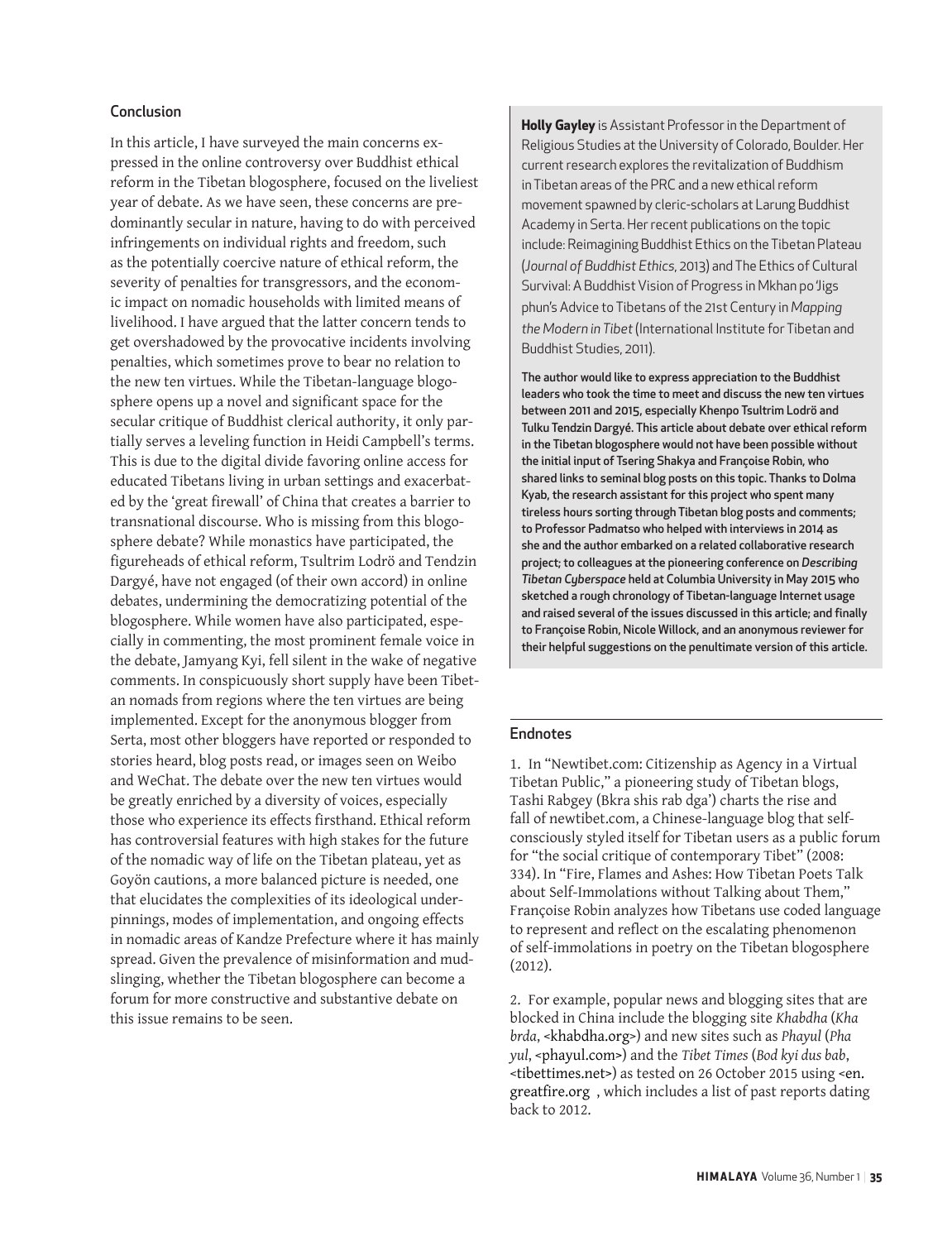#### Conclusion

In this article, I have surveyed the main concerns expressed in the online controversy over Buddhist ethical reform in the Tibetan blogosphere, focused on the liveliest year of debate. As we have seen, these concerns are predominantly secular in nature, having to do with perceived infringements on individual rights and freedom, such as the potentially coercive nature of ethical reform, the severity of penalties for transgressors, and the economic impact on nomadic households with limited means of livelihood. I have argued that the latter concern tends to get overshadowed by the provocative incidents involving penalties, which sometimes prove to bear no relation to the new ten virtues. While the Tibetan-language blogosphere opens up a novel and significant space for the secular critique of Buddhist clerical authority, it only partially serves a leveling function in Heidi Campbell's terms. This is due to the digital divide favoring online access for educated Tibetans living in urban settings and exacerbated by the 'great firewall' of China that creates a barrier to transnational discourse. Who is missing from this blogosphere debate? While monastics have participated, the figureheads of ethical reform, Tsultrim Lodrö and Tendzin Dargyé, have not engaged (of their own accord) in online debates, undermining the democratizing potential of the blogosphere. While women have also participated, especially in commenting, the most prominent female voice in the debate, Jamyang Kyi, fell silent in the wake of negative comments. In conspicuously short supply have been Tibetan nomads from regions where the ten virtues are being implemented. Except for the anonymous blogger from Serta, most other bloggers have reported or responded to stories heard, blog posts read, or images seen on Weibo and WeChat. The debate over the new ten virtues would be greatly enriched by a diversity of voices, especially those who experience its effects firsthand. Ethical reform has controversial features with high stakes for the future of the nomadic way of life on the Tibetan plateau, yet as Goyön cautions, a more balanced picture is needed, one that elucidates the complexities of its ideological underpinnings, modes of implementation, and ongoing effects in nomadic areas of Kandze Prefecture where it has mainly spread. Given the prevalence of misinformation and mudslinging, whether the Tibetan blogosphere can become a forum for more constructive and substantive debate on this issue remains to be seen.

**Holly Gayley** is Assistant Professor in the Department of Religious Studies at the University of Colorado, Boulder. Her current research explores the revitalization of Buddhism in Tibetan areas of the PRC and a new ethical reform movement spawned by cleric-scholars at Larung Buddhist Academy in Serta. Her recent publications on the topic include: Reimagining Buddhist Ethics on the Tibetan Plateau (*Journal of Buddhist Ethics*, 2013) and The Ethics of Cultural Survival: A Buddhist Vision of Progress in Mkhan po 'Jigs phun's Advice to Tibetans of the 21st Century in *Mapping the Modern in Tibet* (International Institute for Tibetan and Buddhist Studies, 2011).

The author would like to express appreciation to the Buddhist leaders who took the time to meet and discuss the new ten virtues between 2011 and 2015, especially Khenpo Tsultrim Lodrö and Tulku Tendzin Dargyé. This article about debate over ethical reform in the Tibetan blogosphere would not have been possible without the initial input of Tsering Shakya and Françoise Robin, who shared links to seminal blog posts on this topic. Thanks to Dolma Kyab, the research assistant for this project who spent many tireless hours sorting through Tibetan blog posts and comments; to Professor Padmatso who helped with interviews in 2014 as she and the author embarked on a related collaborative research project; to colleagues at the pioneering conference on *Describing Tibetan Cyberspace* held at Columbia University in May 2015 who sketched a rough chronology of Tibetan-language Internet usage and raised several of the issues discussed in this article; and finally to Françoise Robin, Nicole Willock, and an anonymous reviewer for their helpful suggestions on the penultimate version of this article.

#### Endnotes

1. In "Newtibet.com: Citizenship as Agency in a Virtual Tibetan Public," a pioneering study of Tibetan blogs, Tashi Rabgey (Bkra shis rab dga') charts the rise and fall of newtibet.com, a Chinese-language blog that selfconsciously styled itself for Tibetan users as a public forum for "the social critique of contemporary Tibet" (2008: 334). In "Fire, Flames and Ashes: How Tibetan Poets Talk about Self-Immolations without Talking about Them," Françoise Robin analyzes how Tibetans use coded language to represent and reflect on the escalating phenomenon of self-immolations in poetry on the Tibetan blogosphere (2012).

2. For example, popular news and blogging sites that are blocked in China include the blogging site *Khabdha* (*Kha brda*, [<khabdha.org>](http://khabdha.org)) and new sites such as *Phayul* (*Pha yul*, <[phayul.com>](http://phayul.com)) and the *Tibet Times* (*Bod kyi dus bab*, [<tibettimes.net](http://tibettimes.net)>) as tested on 26 October 2015 using <[en.](http://en.greatfire.org) [greatfire.org](http://en.greatfire.org) , which includes a list of past reports dating back to 2012.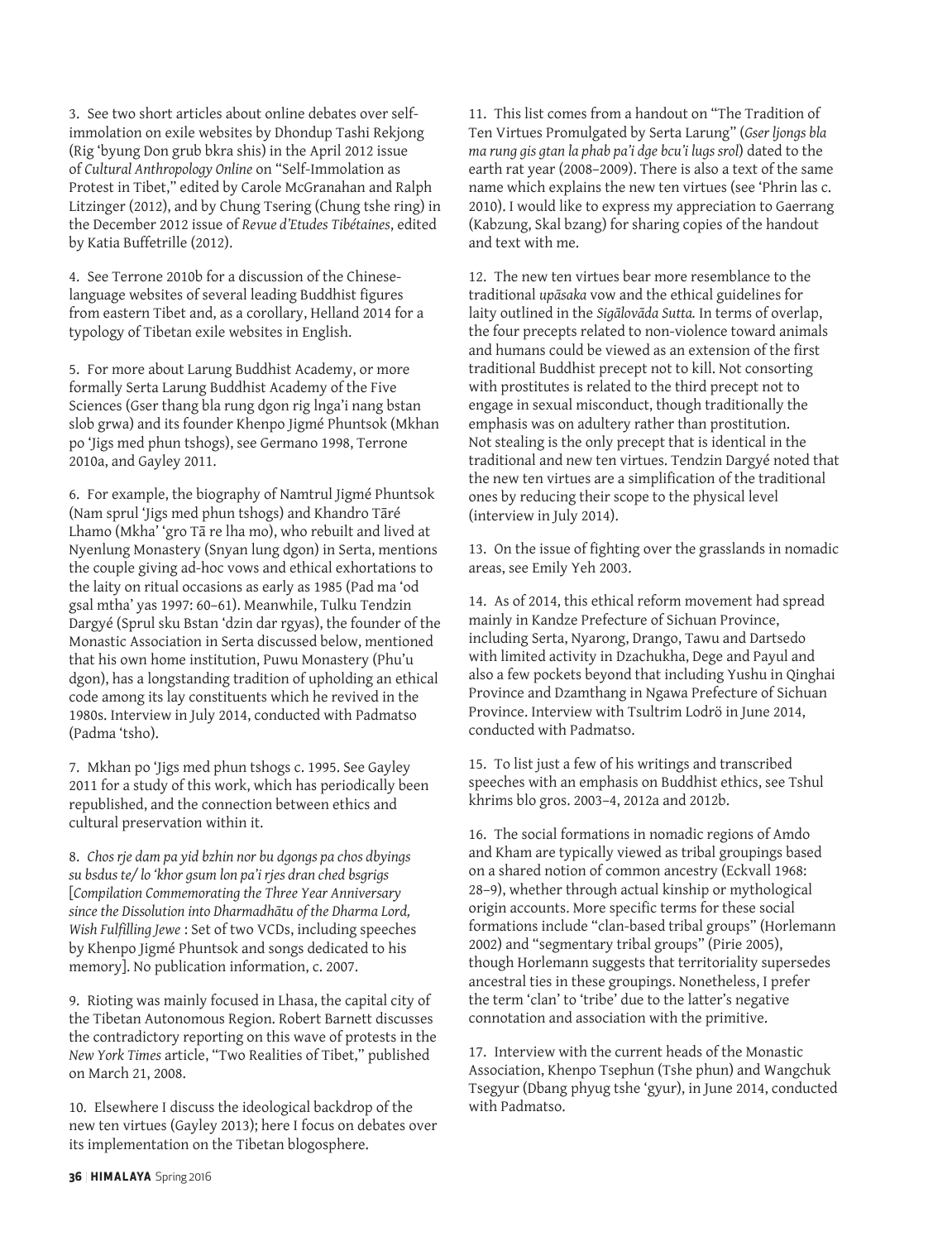3. See two short articles about online debates over selfimmolation on exile websites by Dhondup Tashi Rekjong (Rig 'byung Don grub bkra shis) in the April 2012 issue of *Cultural Anthropology Online* on "Self-Immolation as Protest in Tibet," edited by Carole McGranahan and Ralph Litzinger (2012), and by Chung Tsering (Chung tshe ring) in the December 2012 issue of *Revue d'Etudes Tibétaines*, edited by Katia Buffetrille (2012).

4. See Terrone 2010b for a discussion of the Chineselanguage websites of several leading Buddhist figures from eastern Tibet and, as a corollary, Helland 2014 for a typology of Tibetan exile websites in English.

5. For more about Larung Buddhist Academy, or more formally Serta Larung Buddhist Academy of the Five Sciences (Gser thang bla rung dgon rig lnga'i nang bstan slob grwa) and its founder Khenpo Jigmé Phuntsok (Mkhan po 'Jigs med phun tshogs), see Germano 1998, Terrone 2010a, and Gayley 2011.

6. For example, the biography of Namtrul Jigmé Phuntsok (Nam sprul 'Jigs med phun tshogs) and Khandro Tāré Lhamo (Mkha' 'gro Tā re lha mo), who rebuilt and lived at Nyenlung Monastery (Snyan lung dgon) in Serta, mentions the couple giving ad-hoc vows and ethical exhortations to the laity on ritual occasions as early as 1985 (Pad ma 'od gsal mtha' yas 1997: 60–61). Meanwhile, Tulku Tendzin Dargyé (Sprul sku Bstan 'dzin dar rgyas), the founder of the Monastic Association in Serta discussed below, mentioned that his own home institution, Puwu Monastery (Phu'u dgon), has a longstanding tradition of upholding an ethical code among its lay constituents which he revived in the 1980s. Interview in July 2014, conducted with Padmatso (Padma 'tsho).

7. Mkhan po 'Jigs med phun tshogs c. 1995. See Gayley 2011 for a study of this work, which has periodically been republished, and the connection between ethics and cultural preservation within it.

8. *Chos rje dam pa yid bzhin nor bu dgongs pa chos dbyings su bsdus te/ lo 'khor gsum lon pa'i rjes dran ched bsgrigs*  [*Compilation Commemorating the Three Year Anniversary since the Dissolution into Dharmadhātu of the Dharma Lord, Wish Fulfilling Jewe* : Set of two VCDs, including speeches by Khenpo Jigmé Phuntsok and songs dedicated to his memory]. No publication information, c. 2007.

9. Rioting was mainly focused in Lhasa, the capital city of the Tibetan Autonomous Region. Robert Barnett discusses the contradictory reporting on this wave of protests in the *New York Times* article, "Two Realities of Tibet," published on March 21, 2008.

10. Elsewhere I discuss the ideological backdrop of the new ten virtues (Gayley 2013); here I focus on debates over its implementation on the Tibetan blogosphere.

11. This list comes from a handout on "The Tradition of Ten Virtues Promulgated by Serta Larung" (*Gser ljongs bla ma rung gis gtan la phab pa'i dge bcu'i lugs srol*) dated to the earth rat year (2008–2009). There is also a text of the same name which explains the new ten virtues (see 'Phrin las c. 2010). I would like to express my appreciation to Gaerrang (Kabzung, Skal bzang) for sharing copies of the handout and text with me.

12. The new ten virtues bear more resemblance to the traditional *upāsaka* vow and the ethical guidelines for laity outlined in the *Sigālovāda Sutta.* In terms of overlap, the four precepts related to non-violence toward animals and humans could be viewed as an extension of the first traditional Buddhist precept not to kill. Not consorting with prostitutes is related to the third precept not to engage in sexual misconduct, though traditionally the emphasis was on adultery rather than prostitution. Not stealing is the only precept that is identical in the traditional and new ten virtues. Tendzin Dargyé noted that the new ten virtues are a simplification of the traditional ones by reducing their scope to the physical level (interview in July 2014).

13. On the issue of fighting over the grasslands in nomadic areas, see Emily Yeh 2003.

14. As of 2014, this ethical reform movement had spread mainly in Kandze Prefecture of Sichuan Province, including Serta, Nyarong, Drango, Tawu and Dartsedo with limited activity in Dzachukha, Dege and Payul and also a few pockets beyond that including Yushu in Qinghai Province and Dzamthang in Ngawa Prefecture of Sichuan Province. Interview with Tsultrim Lodrö in June 2014, conducted with Padmatso.

15. To list just a few of his writings and transcribed speeches with an emphasis on Buddhist ethics, see Tshul khrims blo gros. 2003–4, 2012a and 2012b.

16. The social formations in nomadic regions of Amdo and Kham are typically viewed as tribal groupings based on a shared notion of common ancestry (Eckvall 1968: 28–9), whether through actual kinship or mythological origin accounts. More specific terms for these social formations include "clan-based tribal groups" (Horlemann 2002) and "segmentary tribal groups" (Pirie 2005), though Horlemann suggests that territoriality supersedes ancestral ties in these groupings. Nonetheless, I prefer the term 'clan' to 'tribe' due to the latter's negative connotation and association with the primitive.

17. Interview with the current heads of the Monastic Association, Khenpo Tsephun (Tshe phun) and Wangchuk Tsegyur (Dbang phyug tshe 'gyur), in June 2014, conducted with Padmatso.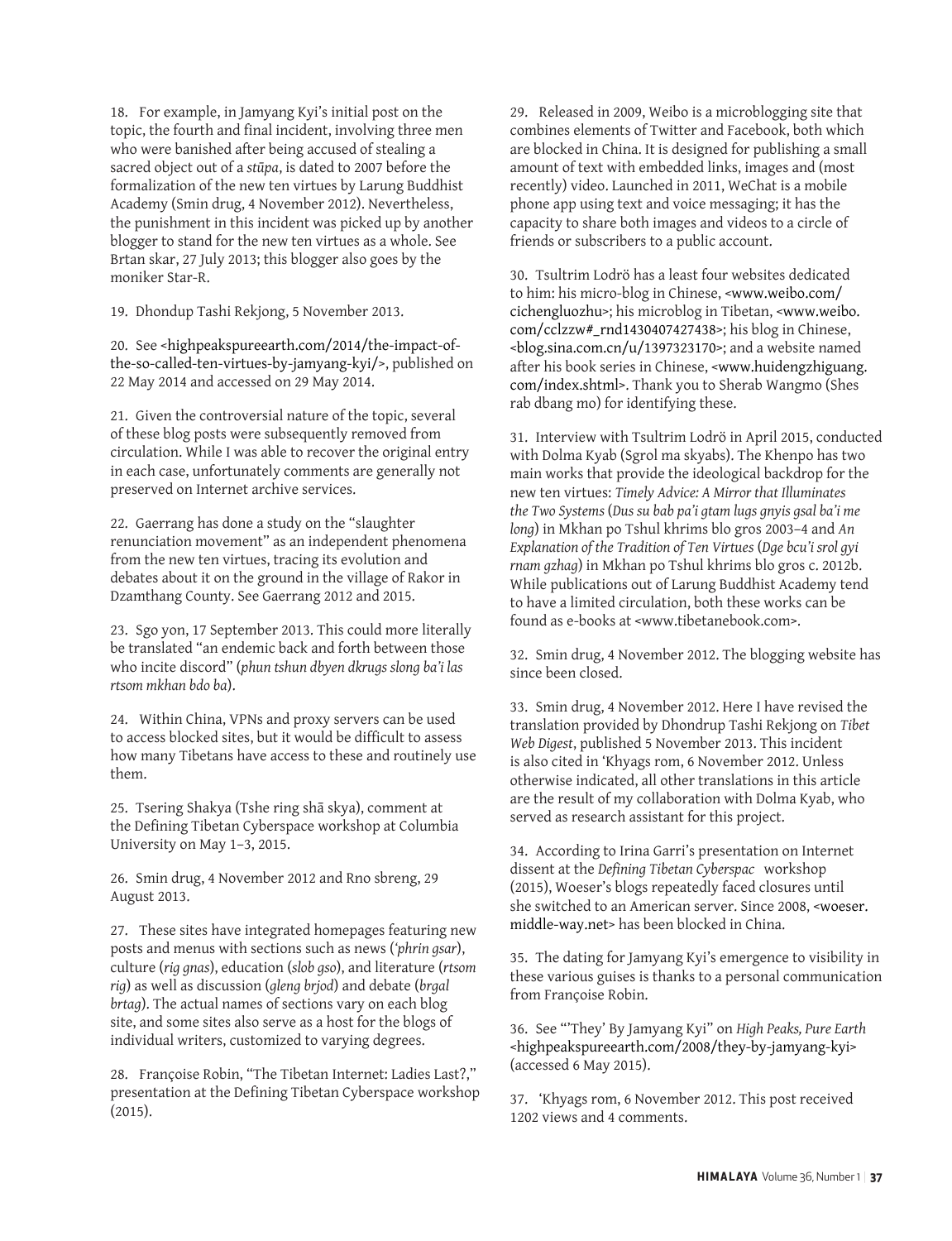18. For example, in Jamyang Kyi's initial post on the topic, the fourth and final incident, involving three men who were banished after being accused of stealing a sacred object out of a *stūpa*, is dated to 2007 before the formalization of the new ten virtues by Larung Buddhist Academy (Smin drug, 4 November 2012). Nevertheless, the punishment in this incident was picked up by another blogger to stand for the new ten virtues as a whole. See Brtan skar, 27 July 2013; this blogger also goes by the moniker Star-R.

19. Dhondup Tashi Rekjong, 5 November 2013.

20. See [<highpeakspureearth.com/2014/the-impact-of](http://highpeakspureearth.com/2014/the-impact-of-the-so-called-ten-virtues-by-jamyang-kyi/)[the-so-called-ten-virtues-by-jamyang-kyi/](http://highpeakspureearth.com/2014/the-impact-of-the-so-called-ten-virtues-by-jamyang-kyi/)>, published on 22 May 2014 and accessed on 29 May 2014.

21. Given the controversial nature of the topic, several of these blog posts were subsequently removed from circulation. While I was able to recover the original entry in each case, unfortunately comments are generally not preserved on Internet archive services.

22. Gaerrang has done a study on the "slaughter renunciation movement" as an independent phenomena from the new ten virtues, tracing its evolution and debates about it on the ground in the village of Rakor in Dzamthang County. See Gaerrang 2012 and 2015.

23. Sgo yon, 17 September 2013. This could more literally be translated "an endemic back and forth between those who incite discord" (*phun tshun dbyen dkrugs slong ba'i las rtsom mkhan bdo ba*).

24. Within China, VPNs and proxy servers can be used to access blocked sites, but it would be difficult to assess how many Tibetans have access to these and routinely use them.

25. Tsering Shakya (Tshe ring shā skya), comment at the Defining Tibetan Cyberspace workshop at Columbia University on May 1–3, 2015.

26. Smin drug, 4 November 2012 and Rno sbreng, 29 August 2013.

27. These sites have integrated homepages featuring new posts and menus with sections such as news (*'phrin gsar*), culture (*rig gnas*), education (*slob gso*), and literature (*rtsom rig*) as well as discussion (*gleng brjod*) and debate (*brgal brtag*). The actual names of sections vary on each blog site, and some sites also serve as a host for the blogs of individual writers, customized to varying degrees.

28. Françoise Robin, "The Tibetan Internet: Ladies Last?," presentation at the Defining Tibetan Cyberspace workshop (2015).

29. Released in 2009, Weibo is a microblogging site that combines elements of Twitter and Facebook, both which are blocked in China. It is designed for publishing a small amount of text with embedded links, images and (most recently) video. Launched in 2011, WeChat is a mobile phone app using text and voice messaging; it has the capacity to share both images and videos to a circle of friends or subscribers to a public account.

30. Tsultrim Lodrö has a least four websites dedicated to him: his micro-blog in Chinese, <[www.weibo.com/](http://www.weibo.com/cichengluozhu) [cichengluozhu](http://www.weibo.com/cichengluozhu)>; his microblog in Tibetan, [<www.weibo.](http://www.weibo.com/cclzzw#_rnd1430407427438) [com/cclzzw#\\_rnd1430407427438>](http://www.weibo.com/cclzzw#_rnd1430407427438); his blog in Chinese, [<blog.sina.com.cn/u/1397323170>](http://blog.sina.com.cn/u/1397323170); and a website named after his book series in Chinese, <[www.huidengzhiguang.](http://www.huidengzhiguang.com/index.shtml) [com/index.shtml](http://www.huidengzhiguang.com/index.shtml)>. Thank you to Sherab Wangmo (Shes rab dbang mo) for identifying these.

31. Interview with Tsultrim Lodrö in April 2015, conducted with Dolma Kyab (Sgrol ma skyabs). The Khenpo has two main works that provide the ideological backdrop for the new ten virtues: *Timely Advice: A Mirror that Illuminates the Two Systems* (*Dus su bab pa'i gtam lugs gnyis gsal ba'i me long*) in Mkhan po Tshul khrims blo gros 2003–4 and *An Explanation of the Tradition of Ten Virtues* (*Dge bcu'i srol gyi rnam gzhag*) in Mkhan po Tshul khrims blo gros c. 2012b. While publications out of Larung Buddhist Academy tend to have a limited circulation, both these works can be found as e-books at <www.tibetanebook.com>.

32. Smin drug, 4 November 2012. The blogging website has since been closed.

33. Smin drug, 4 November 2012. Here I have revised the translation provided by Dhondrup Tashi Rekjong on *Tibet Web Digest*, published 5 November 2013. This incident is also cited in 'Khyags rom, 6 November 2012. Unless otherwise indicated, all other translations in this article are the result of my collaboration with Dolma Kyab, who served as research assistant for this project.

34. According to Irina Garri's presentation on Internet dissent at the *Defining Tibetan Cyberspac* workshop (2015), Woeser's blogs repeatedly faced closures until she switched to an American server. Since 2008, [<woeser.](http://woeser.middle-way.net) [middle-way.net](http://woeser.middle-way.net)> has been blocked in China.

35. The dating for Jamyang Kyi's emergence to visibility in these various guises is thanks to a personal communication from Françoise Robin.

36. See "'They' By Jamyang Kyi" on *High Peaks, Pure Earth* [<highpeakspureearth.com/2008/they-by-jamyang-kyi>](http://highpeakspureearth.com/2008/they-by-jamyang-kyi) (accessed 6 May 2015).

37. 'Khyags rom, 6 November 2012. This post received 1202 views and 4 comments.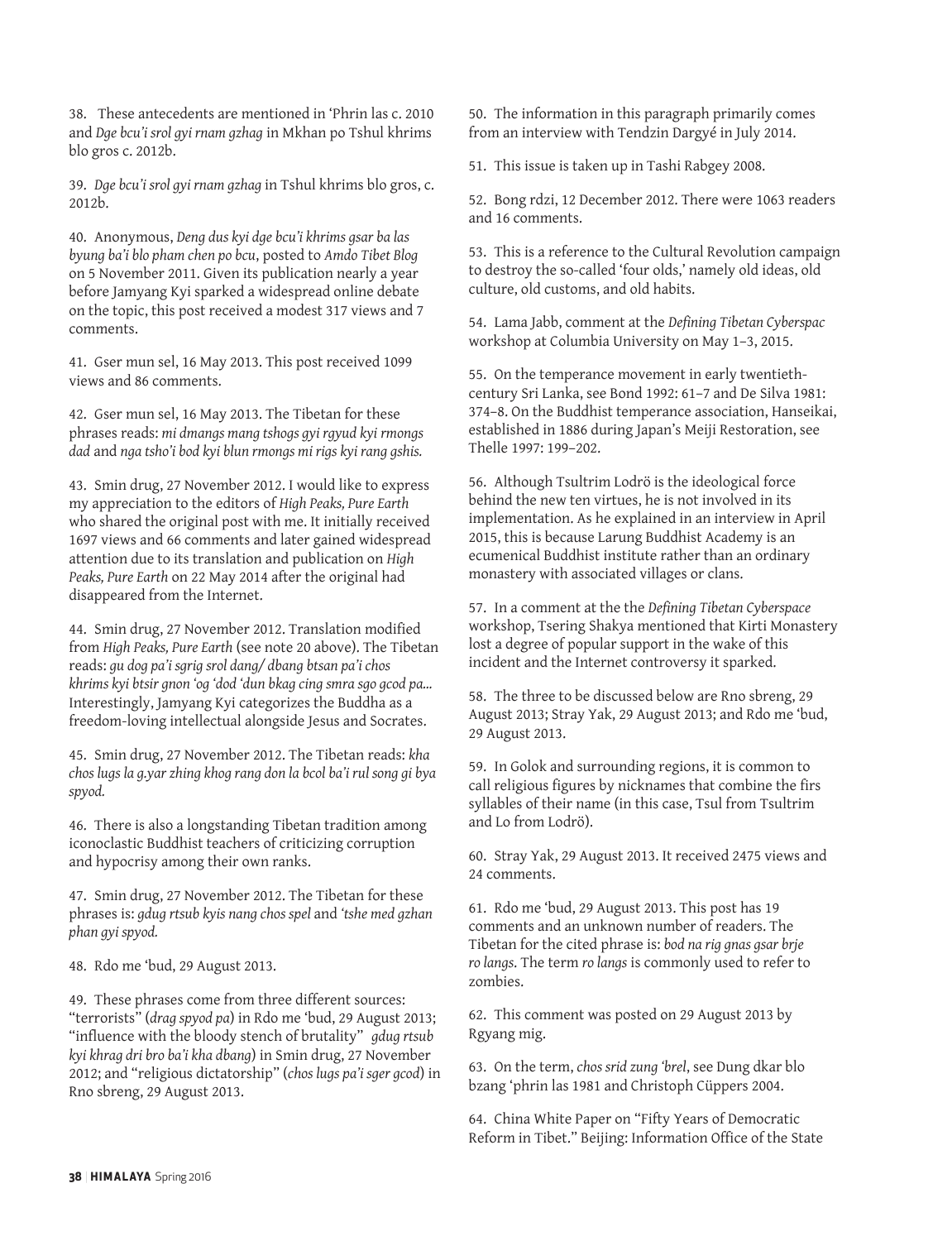38. These antecedents are mentioned in 'Phrin las c. 2010 and *Dge bcu'i srol gyi rnam gzhag* in Mkhan po Tshul khrims blo gros c. 2012b.

39. *Dge bcu'i srol gyi rnam gzhag* in Tshul khrims blo gros, c. 2012b.

40. Anonymous, *Deng dus kyi dge bcu'i khrims gsar ba las byung ba'i blo pham chen po bcu*, posted to *Amdo Tibet Blog* on 5 November 2011. Given its publication nearly a year before Jamyang Kyi sparked a widespread online debate on the topic, this post received a modest 317 views and 7 comments.

41. Gser mun sel, 16 May 2013. This post received 1099 views and 86 comments.

42. Gser mun sel, 16 May 2013. The Tibetan for these phrases reads: *mi dmangs mang tshogs gyi rgyud kyi rmongs dad* and *nga tsho'i bod kyi blun rmongs mi rigs kyi rang gshis.*

43. Smin drug, 27 November 2012. I would like to express my appreciation to the editors of *High Peaks, Pure Earth*  who shared the original post with me. It initially received 1697 views and 66 comments and later gained widespread attention due to its translation and publication on *High Peaks, Pure Earth* on 22 May 2014 after the original had disappeared from the Internet.

44. Smin drug, 27 November 2012. Translation modified from *High Peaks, Pure Earth* (see note 20 above). The Tibetan reads: *gu dog pa'i sgrig srol dang/ dbang btsan pa'i chos khrims kyi btsir gnon 'og 'dod 'dun bkag cing smra sgo gcod pa...* Interestingly, Jamyang Kyi categorizes the Buddha as a freedom-loving intellectual alongside Jesus and Socrates.

45. Smin drug, 27 November 2012. The Tibetan reads: *kha chos lugs la g.yar zhing khog rang don la bcol ba'i rul song gi bya spyod.* 

46. There is also a longstanding Tibetan tradition among iconoclastic Buddhist teachers of criticizing corruption and hypocrisy among their own ranks.

47. Smin drug, 27 November 2012. The Tibetan for these phrases is: *gdug rtsub kyis nang chos spel* and *'tshe med gzhan phan gyi spyod.*

48. Rdo me 'bud, 29 August 2013.

49. These phrases come from three different sources: "terrorists" (*drag spyod pa*) in Rdo me 'bud, 29 August 2013; "influence with the bloody stench of brutality" *gdug rtsub kyi khrag dri bro ba'i kha dbang*) in Smin drug, 27 November 2012; and "religious dictatorship" (*chos lugs pa'i sger gcod*) in Rno sbreng, 29 August 2013.

50. The information in this paragraph primarily comes from an interview with Tendzin Dargyé in July 2014.

51. This issue is taken up in Tashi Rabgey 2008.

52. Bong rdzi, 12 December 2012. There were 1063 readers and 16 comments.

53. This is a reference to the Cultural Revolution campaign to destroy the so-called 'four olds,' namely old ideas, old culture, old customs, and old habits.

54. Lama Jabb, comment at the *Defining Tibetan Cyberspac* workshop at Columbia University on May 1–3, 2015.

55. On the temperance movement in early twentiethcentury Sri Lanka, see Bond 1992: 61–7 and De Silva 1981: 374–8. On the Buddhist temperance association, Hanseikai, established in 1886 during Japan's Meiji Restoration, see Thelle 1997: 199–202.

56. Although Tsultrim Lodrö is the ideological force behind the new ten virtues, he is not involved in its implementation. As he explained in an interview in April 2015, this is because Larung Buddhist Academy is an ecumenical Buddhist institute rather than an ordinary monastery with associated villages or clans.

57. In a comment at the the *Defining Tibetan Cyberspace* workshop, Tsering Shakya mentioned that Kirti Monastery lost a degree of popular support in the wake of this incident and the Internet controversy it sparked.

58. The three to be discussed below are Rno sbreng, 29 August 2013; Stray Yak, 29 August 2013; and Rdo me 'bud, 29 August 2013.

59. In Golok and surrounding regions, it is common to call religious figures by nicknames that combine the firs syllables of their name (in this case, Tsul from Tsultrim and Lo from Lodrö).

60. Stray Yak, 29 August 2013. It received 2475 views and 24 comments.

61. Rdo me 'bud, 29 August 2013. This post has 19 comments and an unknown number of readers. The Tibetan for the cited phrase is: *bod na rig gnas gsar brje ro langs*. The term *ro langs* is commonly used to refer to zombies.

62. This comment was posted on 29 August 2013 by Rgyang mig.

63. On the term, *chos srid zung 'brel*, see Dung dkar blo bzang 'phrin las 1981 and Christoph Cüppers 2004.

64. China White Paper on "Fifty Years of Democratic Reform in Tibet." Beijing: Information Office of the State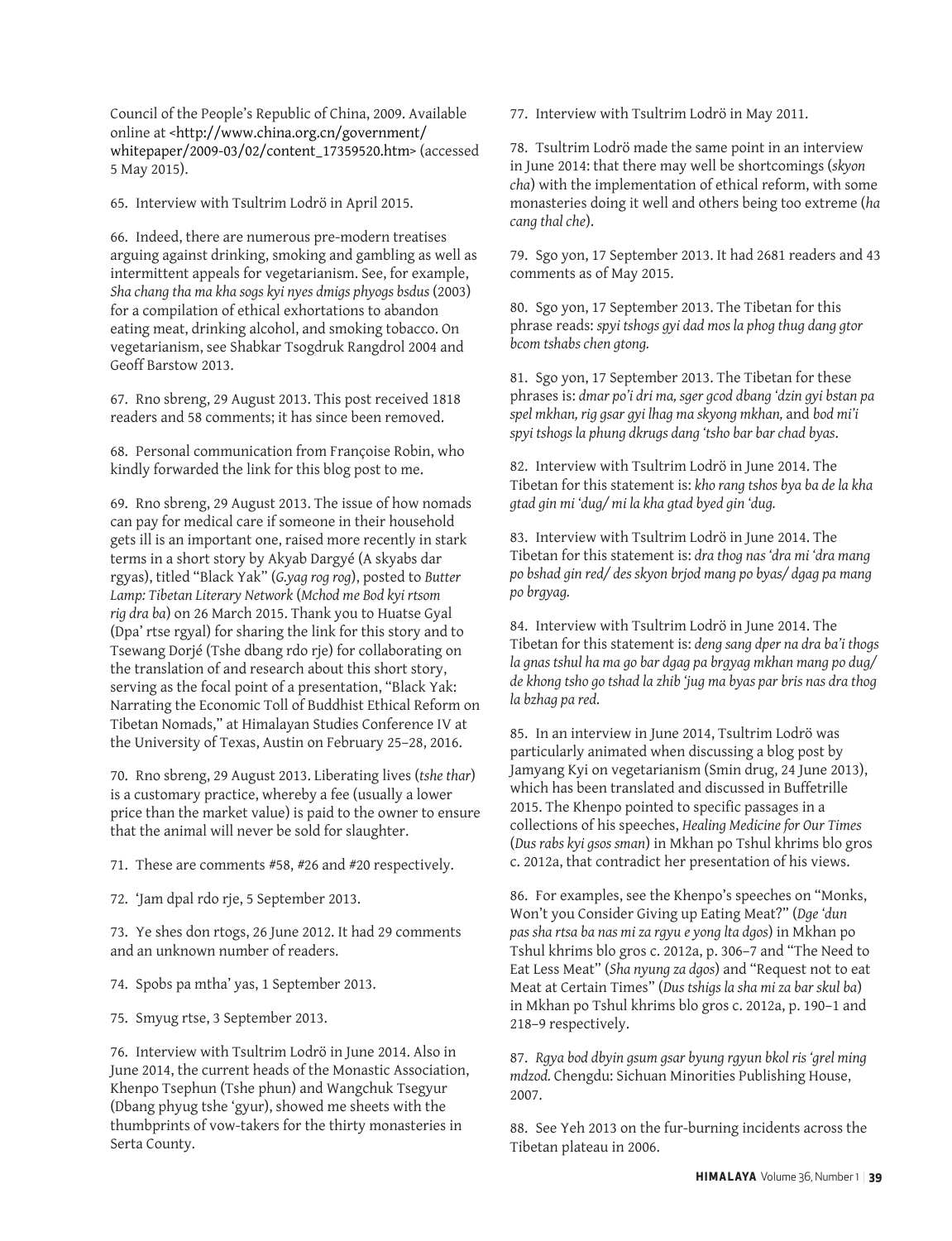Council of the People's Republic of China, 2009. Available online at <[http://www.china.org.cn/government/](http://www.china.org.cn/government/whitepaper/2009-03/02/content_17359520.htm) [whitepaper/2009-03/02/content\\_17359520.htm>](http://www.china.org.cn/government/whitepaper/2009-03/02/content_17359520.htm) (accessed 5 May 2015).

65. Interview with Tsultrim Lodrö in April 2015.

66. Indeed, there are numerous pre-modern treatises arguing against drinking, smoking and gambling as well as intermittent appeals for vegetarianism. See, for example, *Sha chang tha ma kha sogs kyi nyes dmigs phyogs bsdus* (2003) for a compilation of ethical exhortations to abandon eating meat, drinking alcohol, and smoking tobacco. On vegetarianism, see Shabkar Tsogdruk Rangdrol 2004 and Geoff Barstow 2013.

67. Rno sbreng, 29 August 2013. This post received 1818 readers and 58 comments; it has since been removed.

68. Personal communication from Françoise Robin, who kindly forwarded the link for this blog post to me.

69. Rno sbreng, 29 August 2013. The issue of how nomads can pay for medical care if someone in their household gets ill is an important one, raised more recently in stark terms in a short story by Akyab Dargyé (A skyabs dar rgyas), titled "Black Yak" (*G.yag rog rog*), posted to *Butter Lamp: Tibetan Literary Network* (*Mchod me Bod kyi rtsom rig dra ba*) on 26 March 2015. Thank you to Huatse Gyal (Dpa' rtse rgyal) for sharing the link for this story and to Tsewang Dorjé (Tshe dbang rdo rje) for collaborating on the translation of and research about this short story, serving as the focal point of a presentation, "Black Yak: Narrating the Economic Toll of Buddhist Ethical Reform on Tibetan Nomads," at Himalayan Studies Conference IV at the University of Texas, Austin on February 25–28, 2016.

70. Rno sbreng, 29 August 2013. Liberating lives (*tshe thar*) is a customary practice, whereby a fee (usually a lower price than the market value) is paid to the owner to ensure that the animal will never be sold for slaughter.

71. These are comments #58, #26 and #20 respectively.

72. 'Jam dpal rdo rje, 5 September 2013.

73. Ye shes don rtogs, 26 June 2012. It had 29 comments and an unknown number of readers.

74. Spobs pa mtha' yas, 1 September 2013.

75. Smyug rtse, 3 September 2013.

76. Interview with Tsultrim Lodrö in June 2014. Also in June 2014, the current heads of the Monastic Association, Khenpo Tsephun (Tshe phun) and Wangchuk Tsegyur (Dbang phyug tshe 'gyur), showed me sheets with the thumbprints of vow-takers for the thirty monasteries in Serta County.

77. Interview with Tsultrim Lodrö in May 2011.

78. Tsultrim Lodrö made the same point in an interview in June 2014: that there may well be shortcomings (*skyon cha*) with the implementation of ethical reform, with some monasteries doing it well and others being too extreme (*ha cang thal che*).

79. Sgo yon, 17 September 2013. It had 2681 readers and 43 comments as of May 2015.

80. Sgo yon, 17 September 2013. The Tibetan for this phrase reads: *spyi tshogs gyi dad mos la phog thug dang gtor bcom tshabs chen gtong.*

81. Sgo yon, 17 September 2013. The Tibetan for these phrases is: *dmar po'i dri ma, sger gcod dbang 'dzin gyi bstan pa spel mkhan, rig gsar gyi lhag ma skyong mkhan,* and *bod mi'i spyi tshogs la phung dkrugs dang 'tsho bar bar chad byas*.

82. Interview with Tsultrim Lodrö in June 2014. The Tibetan for this statement is: *kho rang tshos bya ba de la kha gtad gin mi 'dug/ mi la kha gtad byed gin 'dug.*

83. Interview with Tsultrim Lodrö in June 2014. The Tibetan for this statement is: *dra thog nas 'dra mi 'dra mang po bshad gin red/ des skyon brjod mang po byas/ dgag pa mang po brgyag.*

84. Interview with Tsultrim Lodrö in June 2014. The Tibetan for this statement is: *deng sang dper na dra ba'i thogs la gnas tshul ha ma go bar dgag pa brgyag mkhan mang po dug/ de khong tsho go tshad la zhib 'jug ma byas par bris nas dra thog la bzhag pa red.*

85. In an interview in June 2014, Tsultrim Lodrö was particularly animated when discussing a blog post by Jamyang Kyi on vegetarianism (Smin drug, 24 June 2013), which has been translated and discussed in Buffetrille 2015. The Khenpo pointed to specific passages in a collections of his speeches, *Healing Medicine for Our Times*  (*Dus rabs kyi gsos sman*) in Mkhan po Tshul khrims blo gros c. 2012a, that contradict her presentation of his views.

86. For examples, see the Khenpo's speeches on "Monks, Won't you Consider Giving up Eating Meat?" (*Dge 'dun pas sha rtsa ba nas mi za rgyu e yong lta dgos*) in Mkhan po Tshul khrims blo gros c. 2012a, p. 306–7 and "The Need to Eat Less Meat" (*Sha nyung za dgos*) and "Request not to eat Meat at Certain Times" (*Dus tshigs la sha mi za bar skul ba*) in Mkhan po Tshul khrims blo gros c. 2012a, p. 190–1 and 218–9 respectively.

87. *Rgya bod dbyin gsum gsar byung rgyun bkol ris 'grel ming mdzod.* Chengdu: Sichuan Minorities Publishing House, 2007.

88. See Yeh 2013 on the fur-burning incidents across the Tibetan plateau in 2006.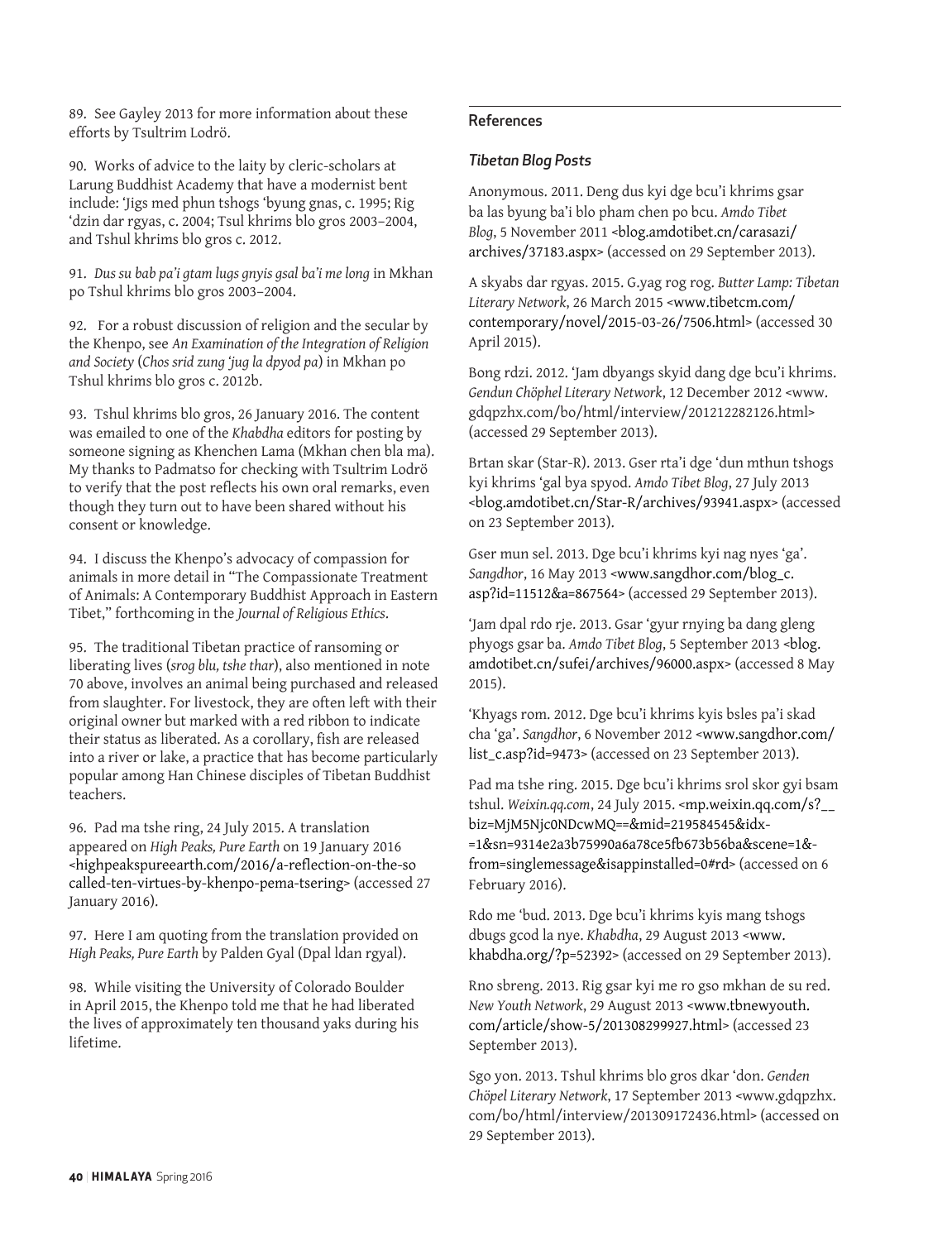89. See Gayley 2013 for more information about these efforts by Tsultrim Lodrö.

90. Works of advice to the laity by cleric-scholars at Larung Buddhist Academy that have a modernist bent include: 'Jigs med phun tshogs 'byung gnas, c. 1995; Rig 'dzin dar rgyas, c. 2004; Tsul khrims blo gros 2003–2004, and Tshul khrims blo gros c. 2012.

91. *Dus su bab pa'i gtam lugs gnyis gsal ba'i me long* in Mkhan po Tshul khrims blo gros 2003–2004.

92. For a robust discussion of religion and the secular by the Khenpo, see *An Examination of the Integration of Religion and Society* (*Chos srid zung 'jug la dpyod pa*) in Mkhan po Tshul khrims blo gros c. 2012b.

93. Tshul khrims blo gros, 26 January 2016. The content was emailed to one of the *Khabdha* editors for posting by someone signing as Khenchen Lama (Mkhan chen bla ma). My thanks to Padmatso for checking with Tsultrim Lodrö to verify that the post reflects his own oral remarks, even though they turn out to have been shared without his consent or knowledge.

94. I discuss the Khenpo's advocacy of compassion for animals in more detail in "The Compassionate Treatment of Animals: A Contemporary Buddhist Approach in Eastern Tibet," forthcoming in the *Journal of Religious Ethics*.

95. The traditional Tibetan practice of ransoming or liberating lives (*srog blu, tshe thar*), also mentioned in note 70 above, involves an animal being purchased and released from slaughter. For livestock, they are often left with their original owner but marked with a red ribbon to indicate their status as liberated. As a corollary, fish are released into a river or lake, a practice that has become particularly popular among Han Chinese disciples of Tibetan Buddhist teachers.

96. Pad ma tshe ring, 24 July 2015. A translation appeared on *High Peaks, Pure Earth* on 19 January 2016 [<highpeakspureearth.com/2016/a-reflection-on-the-so](http://highpeakspureearth.com/2016/a-reflection-on-the-so-called-ten-virtues-by-khenpo-pema-tsering) [called-ten-virtues-by-khenpo-pema-tsering](http://highpeakspureearth.com/2016/a-reflection-on-the-so-called-ten-virtues-by-khenpo-pema-tsering)> (accessed 27 January 2016).

97. Here I am quoting from the translation provided on *High Peaks, Pure Earth* by Palden Gyal (Dpal ldan rgyal).

98. While visiting the University of Colorado Boulder in April 2015, the Khenpo told me that he had liberated the lives of approximately ten thousand yaks during his lifetime.

#### References

#### *Tibetan Blog Posts*

Anonymous. 2011. Deng dus kyi dge bcu'i khrims gsar ba las byung ba'i blo pham chen po bcu. *Amdo Tibet Blog*, 5 November 2011 <blog.amdotibet.cn/carasazi/ archives/37183.aspx> (accessed on 29 September 2013).

A skyabs dar rgyas. 2015. G.yag rog rog. *Butter Lamp: Tibetan Literary Network*, 26 March 2015 <[www.tibetcm.com/](http://www.tibetcm.com/contemporary/novel/2015-03-26/7506.html) [contemporary/novel/2015-03-26/7506.html>](http://www.tibetcm.com/contemporary/novel/2015-03-26/7506.html) (accessed 30 April 2015).

Bong rdzi. 2012. 'Jam dbyangs skyid dang dge bcu'i khrims. *Gendun Chöphel Literary Network*, 12 December 2012 <www. gdqpzhx.com/bo/html/interview/201212282126.html> (accessed 29 September 2013).

Brtan skar (Star-R). 2013. Gser rta'i dge 'dun mthun tshogs kyi khrims 'gal bya spyod. *Amdo Tibet Blog*, 27 July 2013 [<blog.amdotibet.cn/Star-R/archives/93941.aspx>](http://blog.amdotibet.cn/Star-R/archives/93941.aspx) (accessed on 23 September 2013).

Gser mun sel. 2013. Dge bcu'i khrims kyi nag nyes 'ga'. *Sangdhor*, 16 May 2013 <[www.sangdhor.com/blog\\_c.](http://www.sangdhor.com/blog_c.asp?id=11512&a=867564) [asp?id=11512&a=867564>](http://www.sangdhor.com/blog_c.asp?id=11512&a=867564) (accessed 29 September 2013).

'Jam dpal rdo rje. 2013. Gsar 'gyur rnying ba dang gleng phyogs gsar ba. *Amdo Tibet Blog*, 5 September 2013 <blog. amdotibet.cn/sufei/archives/96000.aspx> (accessed 8 May 2015).

'Khyags rom. 2012. Dge bcu'i khrims kyis bsles pa'i skad cha 'ga'. *Sangdhor*, 6 November 2012 <[www.sangdhor.com/](http://www.sangdhor.com/list_c.asp?id=9473) [list\\_c.asp?id=9473](http://www.sangdhor.com/list_c.asp?id=9473)> (accessed on 23 September 2013).

Pad ma tshe ring. 2015. Dge bcu'i khrims srol skor gyi bsam tshul. *Weixin.qq.com*, 24 July 2015. [<mp.weixin.qq.com/s?\\_\\_](http://mp.weixin.qq.com/s?__biz=MjM5Njc0NDcwMQ==&mid=219584545&idx=1&sn=9314e2a3b75990a6a78ce5fb673b56ba&scene=1&from=singlemessage&isappinstalled=0#rd) [biz=MjM5Njc0NDcwMQ==&mid=219584545&idx-](http://mp.weixin.qq.com/s?__biz=MjM5Njc0NDcwMQ==&mid=219584545&idx=1&sn=9314e2a3b75990a6a78ce5fb673b56ba&scene=1&from=singlemessage&isappinstalled=0#rd) [=1&sn=9314e2a3b75990a6a78ce5fb673b56ba&scene=1&](http://mp.weixin.qq.com/s?__biz=MjM5Njc0NDcwMQ==&mid=219584545&idx=1&sn=9314e2a3b75990a6a78ce5fb673b56ba&scene=1&from=singlemessage&isappinstalled=0#rd) [from=singlemessage&isappinstalled=0#rd](http://mp.weixin.qq.com/s?__biz=MjM5Njc0NDcwMQ==&mid=219584545&idx=1&sn=9314e2a3b75990a6a78ce5fb673b56ba&scene=1&from=singlemessage&isappinstalled=0#rd)> (accessed on 6 February 2016).

Rdo me 'bud. 2013. Dge bcu'i khrims kyis mang tshogs dbugs gcod la nye. *Khabdha*, 29 August 2013 [<www.](http://www.khabdha.org/?p=52392) [khabdha.org/?p=52392>](http://www.khabdha.org/?p=52392) (accessed on 29 September 2013).

Rno sbreng. 2013. Rig gsar kyi me ro gso mkhan de su red. *New Youth Network*, 29 August 2013 <www.tbnewyouth. com/article/show-5/201308299927.html> (accessed 23 September 2013).

Sgo yon. 2013. Tshul khrims blo gros dkar 'don. *Genden Chöpel Literary Network*, 17 September 2013 <www.gdqpzhx. com/bo/html/interview/201309172436.html> (accessed on 29 September 2013).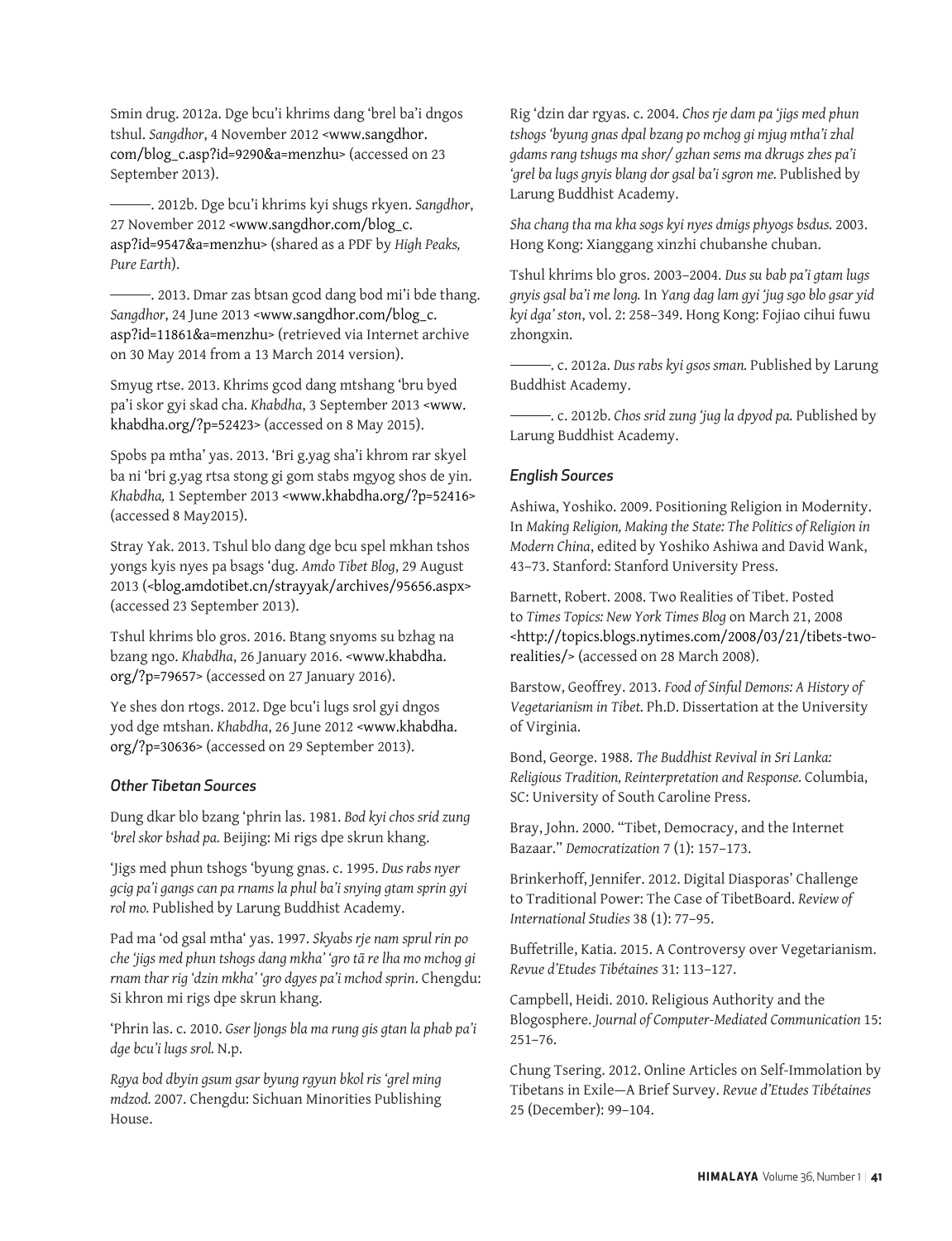Smin drug. 2012a. Dge bcu'i khrims dang 'brel ba'i dngos tshul. *Sangdhor*, 4 November 2012 <[www.sangdhor.](http://www.sangdhor.com/blog_c.asp?id=9290&a=menzhu) [com/blog\\_c.asp?id=9290&a=menzhu](http://www.sangdhor.com/blog_c.asp?id=9290&a=menzhu)> (accessed on 23 September 2013).

 . 2012b. Dge bcu'i khrims kyi shugs rkyen. *Sangdhor*, 27 November 2012 <[www.sangdhor.com/blog\\_c.](http://www.sangdhor.com/blog_c.asp?id=9547&a=menzhu) [asp?id=9547&a=menzhu](http://www.sangdhor.com/blog_c.asp?id=9547&a=menzhu)> (shared as a PDF by *High Peaks, Pure Earth*).

 . 2013. Dmar zas btsan gcod dang bod mi'i bde thang. *Sangdhor*, 24 June 2013 <[www.sangdhor.com/blog\\_c.](http://www.sangdhor.com/blog_c.asp?id=11861&a=menzhu) [asp?id=11861&a=menzhu>](http://www.sangdhor.com/blog_c.asp?id=11861&a=menzhu) (retrieved via Internet archive on 30 May 2014 from a 13 March 2014 version).

Smyug rtse. 2013. Khrims gcod dang mtshang 'bru byed pa'i skor gyi skad cha. *Khabdha*, 3 September 2013 <[www.](http://www.khabdha.org/?p=52423) [khabdha.org/?p=52423>](http://www.khabdha.org/?p=52423) (accessed on 8 May 2015).

Spobs pa mtha' yas. 2013. 'Bri g.yag sha'i khrom rar skyel ba ni 'bri g.yag rtsa stong gi gom stabs mgyog shos de yin. *Khabdha,* 1 September 2013 <[www.khabdha.org/?p=52416](http://www.khabdha.org/?p=52416)> (accessed 8 May2015).

Stray Yak. 2013. Tshul blo dang dge bcu spel mkhan tshos yongs kyis nyes pa bsags 'dug. *Amdo Tibet Blog*, 29 August 2013 (<[blog.amdotibet.cn/strayyak/archives/95656.aspx](http://blog.amdotibet.cn/strayyak/archives/95656.aspx)> (accessed 23 September 2013).

Tshul khrims blo gros. 2016. Btang snyoms su bzhag na bzang ngo. *Khabdha*, 26 January 2016. [<www.khabdha.](http://www.khabdha.org/?p=79657) [org/?p=79657](http://www.khabdha.org/?p=79657)> (accessed on 27 January 2016).

Ye shes don rtogs. 2012. Dge bcu'i lugs srol gyi dngos yod dge mtshan. *Khabdha*, 26 June 2012 [<www.khabdha.](http://www.khabdha.org/?p=30636) [org/?p=30636](http://www.khabdha.org/?p=30636)> (accessed on 29 September 2013).

#### *Other Tibetan Sources*

Dung dkar blo bzang 'phrin las. 1981. *Bod kyi chos srid zung 'brel skor bshad pa.* Beijing: Mi rigs dpe skrun khang.

'Jigs med phun tshogs 'byung gnas. c. 1995. *Dus rabs nyer gcig pa'i gangs can pa rnams la phul ba'i snying gtam sprin gyi rol mo.* Published by Larung Buddhist Academy.

Pad ma 'od gsal mtha' yas. 1997. *Skyabs rje nam sprul rin po che 'jigs med phun tshogs dang mkha' 'gro tā re lha mo mchog gi rnam thar rig 'dzin mkha' 'gro dgyes pa'i mchod sprin*. Chengdu: Si khron mi rigs dpe skrun khang.

'Phrin las. c. 2010. *Gser ljongs bla ma rung gis gtan la phab pa'i dge bcu'i lugs srol.* N.p.

*Rgya bod dbyin gsum gsar byung rgyun bkol ris 'grel ming mdzod.* 2007. Chengdu: Sichuan Minorities Publishing House.

Rig 'dzin dar rgyas. c. 2004. *Chos rje dam pa 'jigs med phun tshogs 'byung gnas dpal bzang po mchog gi mjug mtha'i zhal gdams rang tshugs ma shor/ gzhan sems ma dkrugs zhes pa'i 'grel ba lugs gnyis blang dor gsal ba'i sgron me.* Published by Larung Buddhist Academy.

*Sha chang tha ma kha sogs kyi nyes dmigs phyogs bsdus.* 2003. Hong Kong: Xianggang xinzhi chubanshe chuban.

Tshul khrims blo gros. 2003–2004. *Dus su bab pa'i gtam lugs gnyis gsal ba'i me long.* In *Yang dag lam gyi 'jug sgo blo gsar yid kyi dga' ston*, vol. 2: 258–349. Hong Kong: Fojiao cihui fuwu zhongxin.

 . c. 2012a. *Dus rabs kyi gsos sman.* Published by Larung Buddhist Academy.

 . c. 2012b. *Chos srid zung 'jug la dpyod pa.* Published by Larung Buddhist Academy.

#### *English Sources*

Ashiwa, Yoshiko. 2009. Positioning Religion in Modernity. In *Making Religion, Making the State: The Politics of Religion in Modern China*, edited by Yoshiko Ashiwa and David Wank, 43–73. Stanford: Stanford University Press.

Barnett, Robert. 2008. Two Realities of Tibet. Posted to *Times Topics: New York Times Blog* on March 21, 2008 [<http://topics.blogs.nytimes.com/2008/03/21/tibets-two](http://topics.blogs.nytimes.com/2008/03/21/tibets-two-realities/)[realities/>](http://topics.blogs.nytimes.com/2008/03/21/tibets-two-realities/) (accessed on 28 March 2008).

Barstow, Geoffrey. 2013. *Food of Sinful Demons: A History of Vegetarianism in Tibet.* Ph.D. Dissertation at the University of Virginia.

Bond, George. 1988. *The Buddhist Revival in Sri Lanka: Religious Tradition, Reinterpretation and Response.* Columbia, SC: University of South Caroline Press.

Bray, John. 2000. "Tibet, Democracy, and the Internet Bazaar." *Democratization* 7 (1): 157–173.

Brinkerhoff, Jennifer. 2012. Digital Diasporas' Challenge to Traditional Power: The Case of TibetBoard. *Review of International Studies* 38 (1): 77–95.

Buffetrille, Katia. 2015. A Controversy over Vegetarianism. *Revue d'Etudes Tibétaines* 31: 113–127.

Campbell, Heidi. 2010. Religious Authority and the Blogosphere. *Journal of Computer-Mediated Communication* 15: 251–76.

Chung Tsering. 2012. Online Articles on Self-Immolation by Tibetans in Exile—A Brief Survey. *Revue d'Etudes Tibétaines* 25 (December): 99–104.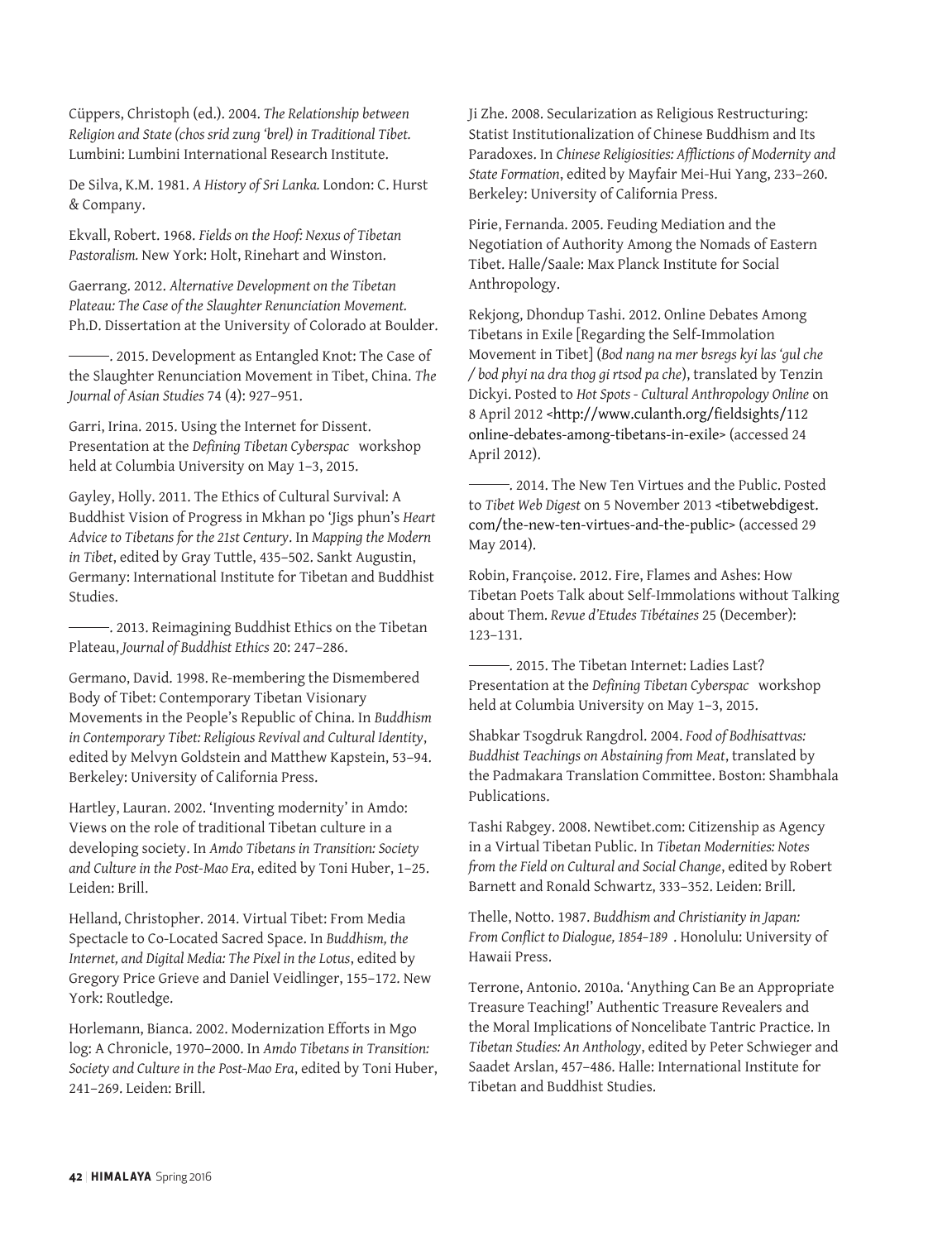Cüppers, Christoph (ed.). 2004. *The Relationship between Religion and State (chos srid zung 'brel) in Traditional Tibet.* Lumbini: Lumbini International Research Institute.

De Silva, K.M. 1981. *A History of Sri Lanka.* London: C. Hurst & Company.

Ekvall, Robert. 1968. *Fields on the Hoof: Nexus of Tibetan Pastoralism.* New York: Holt, Rinehart and Winston.

Gaerrang. 2012. *Alternative Development on the Tibetan Plateau: The Case of the Slaughter Renunciation Movement.* Ph.D. Dissertation at the University of Colorado at Boulder.

 . 2015. Development as Entangled Knot: The Case of the Slaughter Renunciation Movement in Tibet, China. *The Journal of Asian Studies* 74 (4): 927–951.

Garri, Irina. 2015. Using the Internet for Dissent. Presentation at the *Defining Tibetan Cyberspac* workshop held at Columbia University on May 1–3, 2015.

Gayley, Holly. 2011. The Ethics of Cultural Survival: A Buddhist Vision of Progress in Mkhan po 'Jigs phun's *Heart Advice to Tibetans for the 21st Century*. In *Mapping the Modern in Tibet*, edited by Gray Tuttle, 435–502. Sankt Augustin, Germany: International Institute for Tibetan and Buddhist Studies.

 . 2013. Reimagining Buddhist Ethics on the Tibetan Plateau, *Journal of Buddhist Ethics* 20: 247–286.

Germano, David. 1998. Re-membering the Dismembered Body of Tibet: Contemporary Tibetan Visionary Movements in the People's Republic of China. In *Buddhism in Contemporary Tibet: Religious Revival and Cultural Identity*, edited by Melvyn Goldstein and Matthew Kapstein, 53–94. Berkeley: University of California Press.

Hartley, Lauran. 2002. 'Inventing modernity' in Amdo: Views on the role of traditional Tibetan culture in a developing society. In *Amdo Tibetans in Transition: Society and Culture in the Post-Mao Era*, edited by Toni Huber, 1–25. Leiden: Brill.

Helland, Christopher. 2014. Virtual Tibet: From Media Spectacle to Co-Located Sacred Space. In *Buddhism, the Internet, and Digital Media: The Pixel in the Lotus*, edited by Gregory Price Grieve and Daniel Veidlinger, 155–172. New York: Routledge.

Horlemann, Bianca. 2002. Modernization Efforts in Mgo log: A Chronicle, 1970–2000. In *Amdo Tibetans in Transition: Society and Culture in the Post-Mao Era*, edited by Toni Huber, 241–269. Leiden: Brill.

Ji Zhe. 2008. Secularization as Religious Restructuring: Statist Institutionalization of Chinese Buddhism and Its Paradoxes. In *Chinese Religiosities: Afflictions of Modernity and State Formation*, edited by Mayfair Mei-Hui Yang, 233–260. Berkeley: University of California Press.

Pirie, Fernanda. 2005. Feuding Mediation and the Negotiation of Authority Among the Nomads of Eastern Tibet. Halle/Saale: Max Planck Institute for Social Anthropology.

Rekjong, Dhondup Tashi. 2012. Online Debates Among Tibetans in Exile [Regarding the Self-Immolation Movement in Tibet] (*Bod nang na mer bsregs kyi las 'gul che / bod phyi na dra thog gi rtsod pa che*), translated by Tenzin Dickyi. Posted to *Hot Spots - Cultural Anthropology Online* on 8 April 2012 [<http://www.culanth.org/fieldsights/112](http://www.culanth.org/fieldsights/112-online-debates-among-tibetans-in-exile) [online-debates-among-tibetans-in-exile>](http://www.culanth.org/fieldsights/112-online-debates-among-tibetans-in-exile) (accessed 24 April 2012).

 . 2014. The New Ten Virtues and the Public. Posted to *Tibet Web Digest* on 5 November 2013 [<tibetwebdigest.](http://tibetwebdigest.com/the-new-ten-virtues-and-the-public) [com/the-new-ten-virtues-and-the-public>](http://tibetwebdigest.com/the-new-ten-virtues-and-the-public) (accessed 29 May 2014).

Robin, Françoise. 2012. Fire, Flames and Ashes: How Tibetan Poets Talk about Self-Immolations without Talking about Them. *Revue d'Etudes Tibétaines* 25 (December): 123–131.

 . 2015. The Tibetan Internet: Ladies Last? Presentation at the *Defining Tibetan Cyberspac* workshop held at Columbia University on May 1–3, 2015.

Shabkar Tsogdruk Rangdrol. 2004. *Food of Bodhisattvas: Buddhist Teachings on Abstaining from Meat*, translated by the Padmakara Translation Committee. Boston: Shambhala Publications.

Tashi Rabgey. 2008. Newtibet.com: Citizenship as Agency in a Virtual Tibetan Public. In *Tibetan Modernities: Notes from the Field on Cultural and Social Change*, edited by Robert Barnett and Ronald Schwartz, 333–352. Leiden: Brill.

Thelle, Notto. 1987. *Buddhism and Christianity in Japan: From Conflict to Dialogue, 1854–189* . Honolulu: University of Hawaii Press.

Terrone, Antonio. 2010a. 'Anything Can Be an Appropriate Treasure Teaching!' Authentic Treasure Revealers and the Moral Implications of Noncelibate Tantric Practice. In *Tibetan Studies: An Anthology*, edited by Peter Schwieger and Saadet Arslan, 457–486. Halle: International Institute for Tibetan and Buddhist Studies.